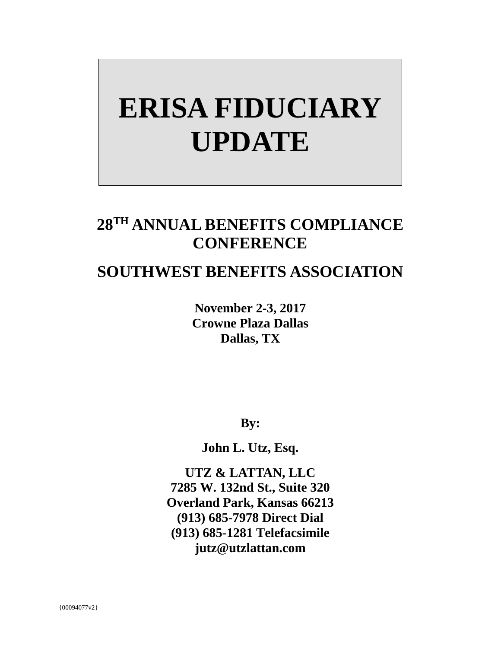# **ERISA FIDUCIARY UPDATE**

## **28TH ANNUAL BENEFITS COMPLIANCE CONFERENCE**

### **SOUTHWEST BENEFITS ASSOCIATION**

**November 2-3, 2017 Crowne Plaza Dallas Dallas, TX** 

**By:**

**John L. Utz, Esq.** 

**UTZ & LATTAN, LLC 7285 W. 132nd St., Suite 320 Overland Park, Kansas 66213 (913) 685-7978 Direct Dial (913) 685-1281 Telefacsimile jutz@utzlattan.com**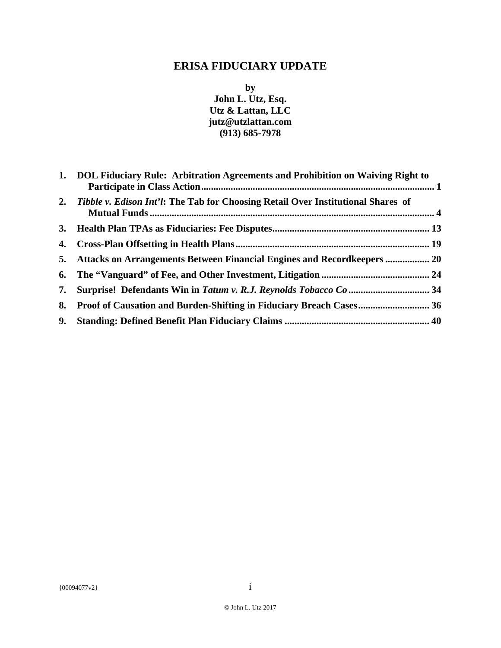#### **ERISA FIDUCIARY UPDATE**

**by John L. Utz, Esq. Utz & Lattan, LLC jutz@utzlattan.com (913) 685-7978** 

| 1. DOL Fiduciary Rule: Arbitration Agreements and Prohibition on Waiving Right to   |  |
|-------------------------------------------------------------------------------------|--|
| 2. Tibble v. Edison Int'l: The Tab for Choosing Retail Over Institutional Shares of |  |
|                                                                                     |  |
|                                                                                     |  |
| 5. Attacks on Arrangements Between Financial Engines and Recordkeepers  20          |  |
|                                                                                     |  |
|                                                                                     |  |
| 8. Proof of Causation and Burden-Shifting in Fiduciary Breach Cases 36              |  |
|                                                                                     |  |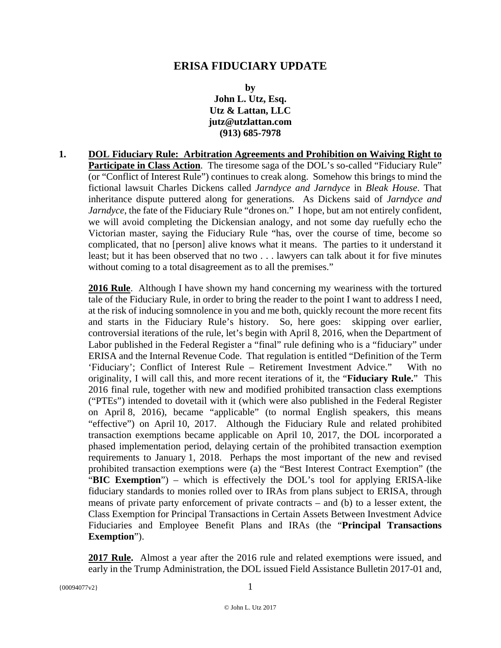#### **ERISA FIDUCIARY UPDATE**

**by John L. Utz, Esq. Utz & Lattan, LLC jutz@utzlattan.com (913) 685-7978** 

**1. DOL Fiduciary Rule: Arbitration Agreements and Prohibition on Waiving Right to**  Participate in Class Action. The tiresome saga of the DOL's so-called "Fiduciary Rule" (or "Conflict of Interest Rule") continues to creak along. Somehow this brings to mind the fictional lawsuit Charles Dickens called *Jarndyce and Jarndyce* in *Bleak House*. That inheritance dispute puttered along for generations. As Dickens said of *Jarndyce and Jarndyce*, the fate of the Fiduciary Rule "drones on." I hope, but am not entirely confident, we will avoid completing the Dickensian analogy, and not some day ruefully echo the Victorian master, saying the Fiduciary Rule "has, over the course of time, become so complicated, that no [person] alive knows what it means. The parties to it understand it least; but it has been observed that no two . . . lawyers can talk about it for five minutes without coming to a total disagreement as to all the premises."

**2016 Rule**. Although I have shown my hand concerning my weariness with the tortured tale of the Fiduciary Rule, in order to bring the reader to the point I want to address I need, at the risk of inducing somnolence in you and me both, quickly recount the more recent fits and starts in the Fiduciary Rule's history. So, here goes: skipping over earlier, controversial iterations of the rule, let's begin with April 8, 2016, when the Department of Labor published in the Federal Register a "final" rule defining who is a "fiduciary" under ERISA and the Internal Revenue Code. That regulation is entitled "Definition of the Term 'Fiduciary'; Conflict of Interest Rule – Retirement Investment Advice." With no originality, I will call this, and more recent iterations of it, the "**Fiduciary Rule.**" This 2016 final rule, together with new and modified prohibited transaction class exemptions ("PTEs") intended to dovetail with it (which were also published in the Federal Register on April 8, 2016), became "applicable" (to normal English speakers, this means "effective") on April 10, 2017. Although the Fiduciary Rule and related prohibited transaction exemptions became applicable on April 10, 2017, the DOL incorporated a phased implementation period, delaying certain of the prohibited transaction exemption requirements to January 1, 2018. Perhaps the most important of the new and revised prohibited transaction exemptions were (a) the "Best Interest Contract Exemption" (the "**BIC Exemption**") – which is effectively the DOL's tool for applying ERISA-like fiduciary standards to monies rolled over to IRAs from plans subject to ERISA, through means of private party enforcement of private contracts – and (b) to a lesser extent, the Class Exemption for Principal Transactions in Certain Assets Between Investment Advice Fiduciaries and Employee Benefit Plans and IRAs (the "**Principal Transactions Exemption**").

**2017 Rule.** Almost a year after the 2016 rule and related exemptions were issued, and early in the Trump Administration, the DOL issued Field Assistance Bulletin 2017-01 and,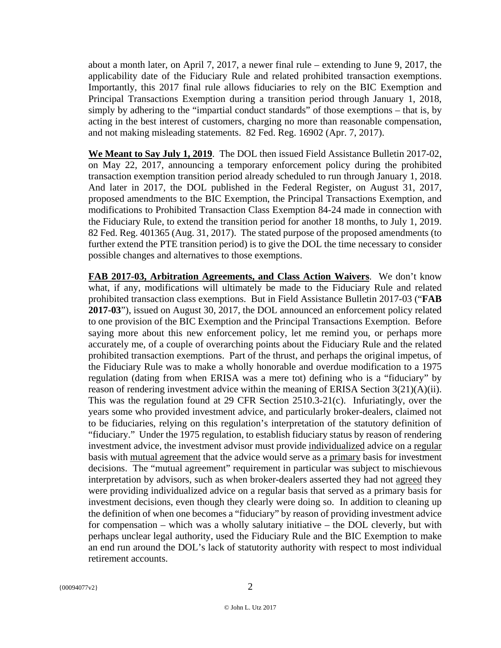about a month later, on April 7, 2017, a newer final rule – extending to June 9, 2017, the applicability date of the Fiduciary Rule and related prohibited transaction exemptions. Importantly, this 2017 final rule allows fiduciaries to rely on the BIC Exemption and Principal Transactions Exemption during a transition period through January 1, 2018, simply by adhering to the "impartial conduct standards" of those exemptions – that is, by acting in the best interest of customers, charging no more than reasonable compensation, and not making misleading statements. 82 Fed. Reg. 16902 (Apr. 7, 2017).

**We Meant to Say July 1, 2019**. The DOL then issued Field Assistance Bulletin 2017-02, on May 22, 2017, announcing a temporary enforcement policy during the prohibited transaction exemption transition period already scheduled to run through January 1, 2018. And later in 2017, the DOL published in the Federal Register, on August 31, 2017, proposed amendments to the BIC Exemption, the Principal Transactions Exemption, and modifications to Prohibited Transaction Class Exemption 84-24 made in connection with the Fiduciary Rule, to extend the transition period for another 18 months, to July 1, 2019. 82 Fed. Reg. 401365 (Aug. 31, 2017). The stated purpose of the proposed amendments (to further extend the PTE transition period) is to give the DOL the time necessary to consider possible changes and alternatives to those exemptions.

**FAB 2017-03, Arbitration Agreements, and Class Action Waivers**. We don't know what, if any, modifications will ultimately be made to the Fiduciary Rule and related prohibited transaction class exemptions. But in Field Assistance Bulletin 2017-03 ("**FAB 2017-03**"), issued on August 30, 2017, the DOL announced an enforcement policy related to one provision of the BIC Exemption and the Principal Transactions Exemption. Before saying more about this new enforcement policy, let me remind you, or perhaps more accurately me, of a couple of overarching points about the Fiduciary Rule and the related prohibited transaction exemptions. Part of the thrust, and perhaps the original impetus, of the Fiduciary Rule was to make a wholly honorable and overdue modification to a 1975 regulation (dating from when ERISA was a mere tot) defining who is a "fiduciary" by reason of rendering investment advice within the meaning of ERISA Section  $3(21)(A)(ii)$ . This was the regulation found at 29 CFR Section 2510.3-21(c). Infuriatingly, over the years some who provided investment advice, and particularly broker-dealers, claimed not to be fiduciaries, relying on this regulation's interpretation of the statutory definition of "fiduciary." Under the 1975 regulation, to establish fiduciary status by reason of rendering investment advice, the investment advisor must provide individualized advice on a regular basis with mutual agreement that the advice would serve as a primary basis for investment decisions. The "mutual agreement" requirement in particular was subject to mischievous interpretation by advisors, such as when broker-dealers asserted they had not agreed they were providing individualized advice on a regular basis that served as a primary basis for investment decisions, even though they clearly were doing so. In addition to cleaning up the definition of when one becomes a "fiduciary" by reason of providing investment advice for compensation – which was a wholly salutary initiative – the DOL cleverly, but with perhaps unclear legal authority, used the Fiduciary Rule and the BIC Exemption to make an end run around the DOL's lack of statutority authority with respect to most individual retirement accounts.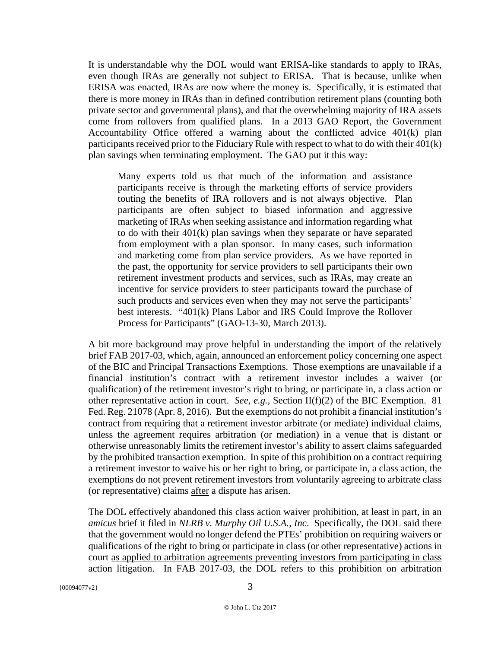It is understandable why the DOL would want ERISA-like standards to apply to IRAs, even though IRAs are generally not subject to ERISA. That is because, unlike when ERISA was enacted, IRAs are now where the money is. Specifically, it is estimated that there is more money in IRAs than in defined contribution retirement plans (counting both private sector and governmental plans), and that the overwhelming majority of IRA assets come from rollovers from qualified plans. In a 2013 GAO Report, the Government Accountability Office offered a warning about the conflicted advice 401(k) plan participants received prior to the Fiduciary Rule with respect to what to do with their 401(k) plan savings when terminating employment. The GAO put it this way:

Many experts told us that much of the information and assistance participants receive is through the marketing efforts of service providers touting the benefits of IRA rollovers and is not always objective. Plan participants are often subject to biased information and aggressive marketing of IRAs when seeking assistance and information regarding what to do with their 401(k) plan savings when they separate or have separated from employment with a plan sponsor. In many cases, such information and marketing come from plan service providers. As we have reported in the past, the opportunity for service providers to sell participants their own retirement investment products and services, such as IRAs, may create an incentive for service providers to steer participants toward the purchase of such products and services even when they may not serve the participants' best interests. "401(k) Plans Labor and IRS Could Improve the Rollover Process for Participants" (GAO-13-30, March 2013).

A bit more background may prove helpful in understanding the import of the relatively brief FAB 2017-03, which, again, announced an enforcement policy concerning one aspect of the BIC and Principal Transactions Exemptions. Those exemptions are unavailable if a financial institution's contract with a retirement investor includes a waiver (or qualification) of the retirement investor's right to bring, or participate in, a class action or other representative action in court. *See, e.g.,* Section II(f)(2) of the BIC Exemption. 81 Fed. Reg. 21078 (Apr. 8, 2016). But the exemptions do not prohibit a financial institution's contract from requiring that a retirement investor arbitrate (or mediate) individual claims, unless the agreement requires arbitration (or mediation) in a venue that is distant or otherwise unreasonably limits the retirement investor's ability to assert claims safeguarded by the prohibited transaction exemption. In spite of this prohibition on a contract requiring a retirement investor to waive his or her right to bring, or participate in, a class action, the exemptions do not prevent retirement investors from voluntarily agreeing to arbitrate class (or representative) claims after a dispute has arisen.

The DOL effectively abandoned this class action waiver prohibition, at least in part, in an *amicus* brief it filed in *NLRB v. Murphy Oil U.S.A., Inc*. Specifically, the DOL said there that the government would no longer defend the PTEs' prohibition on requiring waivers or qualifications of the right to bring or participate in class (or other representative) actions in court as applied to arbitration agreements preventing investors from participating in class action litigation. In FAB 2017-03, the DOL refers to this prohibition on arbitration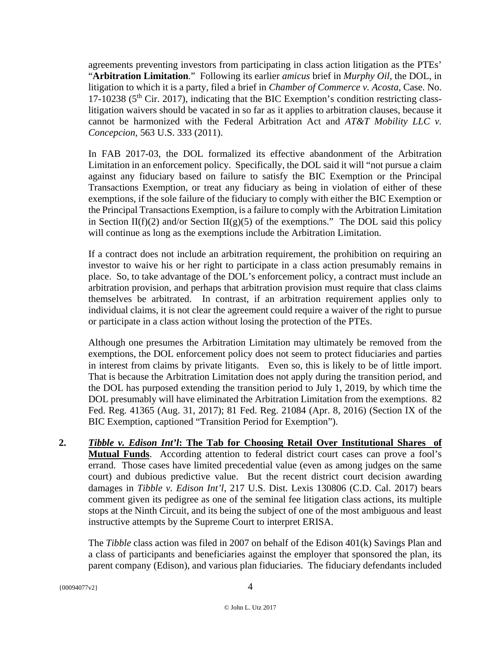agreements preventing investors from participating in class action litigation as the PTEs' "**Arbitration Limitation**." Following its earlier *amicus* brief in *Murphy Oil*, the DOL, in litigation to which it is a party, filed a brief in *Chamber of Commerce v. Acosta*, Case. No. 17-10238 ( $5<sup>th</sup>$  Cir. 2017), indicating that the BIC Exemption's condition restricting classlitigation waivers should be vacated in so far as it applies to arbitration clauses, because it cannot be harmonized with the Federal Arbitration Act and *AT&T Mobility LLC v. Concepcion*, 563 U.S. 333 (2011).

In FAB 2017-03, the DOL formalized its effective abandonment of the Arbitration Limitation in an enforcement policy. Specifically, the DOL said it will "not pursue a claim against any fiduciary based on failure to satisfy the BIC Exemption or the Principal Transactions Exemption, or treat any fiduciary as being in violation of either of these exemptions, if the sole failure of the fiduciary to comply with either the BIC Exemption or the Principal Transactions Exemption, is a failure to comply with the Arbitration Limitation in Section II(f)(2) and/or Section II(g)(5) of the exemptions." The DOL said this policy will continue as long as the exemptions include the Arbitration Limitation.

If a contract does not include an arbitration requirement, the prohibition on requiring an investor to waive his or her right to participate in a class action presumably remains in place. So, to take advantage of the DOL's enforcement policy, a contract must include an arbitration provision, and perhaps that arbitration provision must require that class claims themselves be arbitrated. In contrast, if an arbitration requirement applies only to individual claims, it is not clear the agreement could require a waiver of the right to pursue or participate in a class action without losing the protection of the PTEs.

Although one presumes the Arbitration Limitation may ultimately be removed from the exemptions, the DOL enforcement policy does not seem to protect fiduciaries and parties in interest from claims by private litigants. Even so, this is likely to be of little import. That is because the Arbitration Limitation does not apply during the transition period, and the DOL has purposed extending the transition period to July 1, 2019, by which time the DOL presumably will have eliminated the Arbitration Limitation from the exemptions. 82 Fed. Reg. 41365 (Aug. 31, 2017); 81 Fed. Reg. 21084 (Apr. 8, 2016) (Section IX of the BIC Exemption, captioned "Transition Period for Exemption").

**2.** *Tibble v. Edison Int'l***: The Tab for Choosing Retail Over Institutional Shares of Mutual Funds**. According attention to federal district court cases can prove a fool's errand. Those cases have limited precedential value (even as among judges on the same court) and dubious predictive value. But the recent district court decision awarding damages in *Tibble v. Edison Int'l*, 217 U.S. Dist. Lexis 130806 (C.D. Cal. 2017) bears comment given its pedigree as one of the seminal fee litigation class actions, its multiple stops at the Ninth Circuit, and its being the subject of one of the most ambiguous and least instructive attempts by the Supreme Court to interpret ERISA.

The *Tibble* class action was filed in 2007 on behalf of the Edison 401(k) Savings Plan and a class of participants and beneficiaries against the employer that sponsored the plan, its parent company (Edison), and various plan fiduciaries. The fiduciary defendants included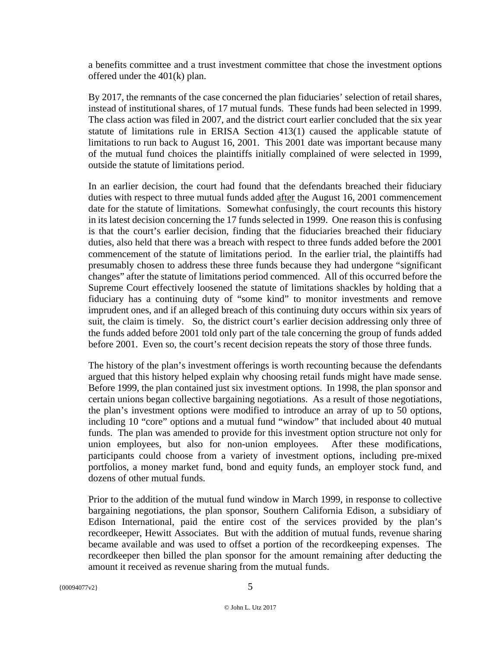a benefits committee and a trust investment committee that chose the investment options offered under the 401(k) plan.

By 2017, the remnants of the case concerned the plan fiduciaries' selection of retail shares, instead of institutional shares, of 17 mutual funds. These funds had been selected in 1999. The class action was filed in 2007, and the district court earlier concluded that the six year statute of limitations rule in ERISA Section 413(1) caused the applicable statute of limitations to run back to August 16, 2001. This 2001 date was important because many of the mutual fund choices the plaintiffs initially complained of were selected in 1999, outside the statute of limitations period.

In an earlier decision, the court had found that the defendants breached their fiduciary duties with respect to three mutual funds added after the August 16, 2001 commencement date for the statute of limitations. Somewhat confusingly, the court recounts this history in its latest decision concerning the 17 funds selected in 1999. One reason this is confusing is that the court's earlier decision, finding that the fiduciaries breached their fiduciary duties, also held that there was a breach with respect to three funds added before the 2001 commencement of the statute of limitations period. In the earlier trial, the plaintiffs had presumably chosen to address these three funds because they had undergone "significant changes" after the statute of limitations period commenced. All of this occurred before the Supreme Court effectively loosened the statute of limitations shackles by holding that a fiduciary has a continuing duty of "some kind" to monitor investments and remove imprudent ones, and if an alleged breach of this continuing duty occurs within six years of suit, the claim is timely. So, the district court's earlier decision addressing only three of the funds added before 2001 told only part of the tale concerning the group of funds added before 2001. Even so, the court's recent decision repeats the story of those three funds.

The history of the plan's investment offerings is worth recounting because the defendants argued that this history helped explain why choosing retail funds might have made sense. Before 1999, the plan contained just six investment options. In 1998, the plan sponsor and certain unions began collective bargaining negotiations. As a result of those negotiations, the plan's investment options were modified to introduce an array of up to 50 options, including 10 "core" options and a mutual fund "window" that included about 40 mutual funds. The plan was amended to provide for this investment option structure not only for union employees, but also for non-union employees. After these modifications, participants could choose from a variety of investment options, including pre-mixed portfolios, a money market fund, bond and equity funds, an employer stock fund, and dozens of other mutual funds.

Prior to the addition of the mutual fund window in March 1999, in response to collective bargaining negotiations, the plan sponsor, Southern California Edison, a subsidiary of Edison International, paid the entire cost of the services provided by the plan's recordkeeper, Hewitt Associates. But with the addition of mutual funds, revenue sharing became available and was used to offset a portion of the recordkeeping expenses. The recordkeeper then billed the plan sponsor for the amount remaining after deducting the amount it received as revenue sharing from the mutual funds.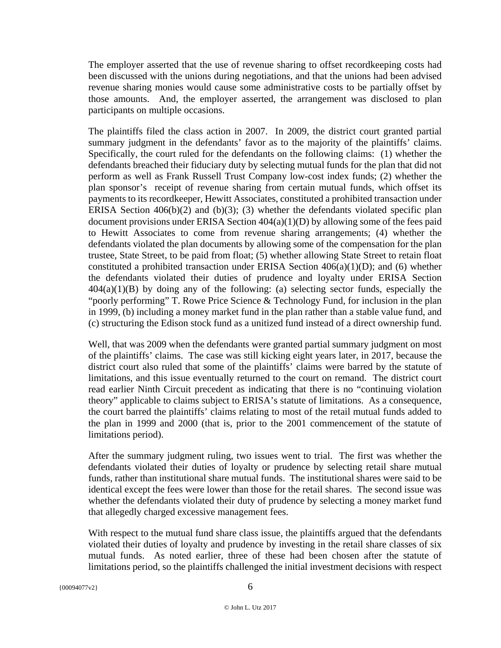The employer asserted that the use of revenue sharing to offset recordkeeping costs had been discussed with the unions during negotiations, and that the unions had been advised revenue sharing monies would cause some administrative costs to be partially offset by those amounts. And, the employer asserted, the arrangement was disclosed to plan participants on multiple occasions.

The plaintiffs filed the class action in 2007. In 2009, the district court granted partial summary judgment in the defendants' favor as to the majority of the plaintiffs' claims. Specifically, the court ruled for the defendants on the following claims: (1) whether the defendants breached their fiduciary duty by selecting mutual funds for the plan that did not perform as well as Frank Russell Trust Company low-cost index funds; (2) whether the plan sponsor's receipt of revenue sharing from certain mutual funds, which offset its payments to its recordkeeper, Hewitt Associates, constituted a prohibited transaction under ERISA Section  $406(b)(2)$  and  $(b)(3)$ ; (3) whether the defendants violated specific plan document provisions under ERISA Section 404(a)(1)(D) by allowing some of the fees paid to Hewitt Associates to come from revenue sharing arrangements; (4) whether the defendants violated the plan documents by allowing some of the compensation for the plan trustee, State Street, to be paid from float; (5) whether allowing State Street to retain float constituted a prohibited transaction under ERISA Section  $406(a)(1)(D)$ ; and (6) whether the defendants violated their duties of prudence and loyalty under ERISA Section  $404(a)(1)(B)$  by doing any of the following: (a) selecting sector funds, especially the "poorly performing" T. Rowe Price Science & Technology Fund, for inclusion in the plan in 1999, (b) including a money market fund in the plan rather than a stable value fund, and (c) structuring the Edison stock fund as a unitized fund instead of a direct ownership fund.

Well, that was 2009 when the defendants were granted partial summary judgment on most of the plaintiffs' claims. The case was still kicking eight years later, in 2017, because the district court also ruled that some of the plaintiffs' claims were barred by the statute of limitations, and this issue eventually returned to the court on remand. The district court read earlier Ninth Circuit precedent as indicating that there is no "continuing violation theory" applicable to claims subject to ERISA's statute of limitations. As a consequence, the court barred the plaintiffs' claims relating to most of the retail mutual funds added to the plan in 1999 and 2000 (that is, prior to the 2001 commencement of the statute of limitations period).

After the summary judgment ruling, two issues went to trial. The first was whether the defendants violated their duties of loyalty or prudence by selecting retail share mutual funds, rather than institutional share mutual funds. The institutional shares were said to be identical except the fees were lower than those for the retail shares. The second issue was whether the defendants violated their duty of prudence by selecting a money market fund that allegedly charged excessive management fees.

With respect to the mutual fund share class issue, the plaintiffs argued that the defendants violated their duties of loyalty and prudence by investing in the retail share classes of six mutual funds. As noted earlier, three of these had been chosen after the statute of limitations period, so the plaintiffs challenged the initial investment decisions with respect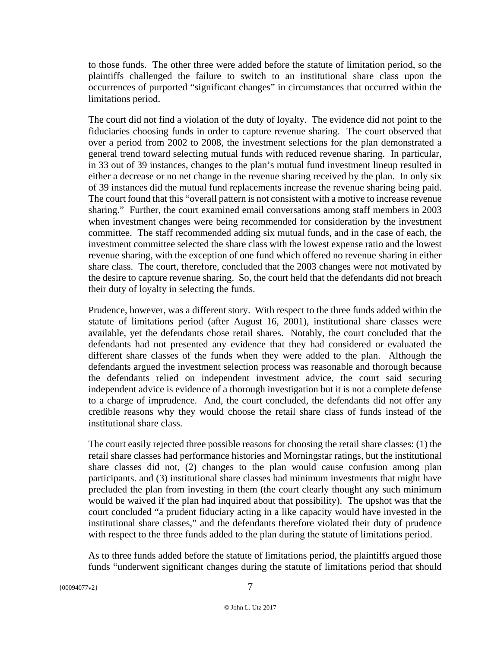to those funds. The other three were added before the statute of limitation period, so the plaintiffs challenged the failure to switch to an institutional share class upon the occurrences of purported "significant changes" in circumstances that occurred within the limitations period.

The court did not find a violation of the duty of loyalty. The evidence did not point to the fiduciaries choosing funds in order to capture revenue sharing. The court observed that over a period from 2002 to 2008, the investment selections for the plan demonstrated a general trend toward selecting mutual funds with reduced revenue sharing. In particular, in 33 out of 39 instances, changes to the plan's mutual fund investment lineup resulted in either a decrease or no net change in the revenue sharing received by the plan. In only six of 39 instances did the mutual fund replacements increase the revenue sharing being paid. The court found that this "overall pattern is not consistent with a motive to increase revenue sharing." Further, the court examined email conversations among staff members in 2003 when investment changes were being recommended for consideration by the investment committee. The staff recommended adding six mutual funds, and in the case of each, the investment committee selected the share class with the lowest expense ratio and the lowest revenue sharing, with the exception of one fund which offered no revenue sharing in either share class. The court, therefore, concluded that the 2003 changes were not motivated by the desire to capture revenue sharing. So, the court held that the defendants did not breach their duty of loyalty in selecting the funds.

Prudence, however, was a different story. With respect to the three funds added within the statute of limitations period (after August 16, 2001), institutional share classes were available, yet the defendants chose retail shares. Notably, the court concluded that the defendants had not presented any evidence that they had considered or evaluated the different share classes of the funds when they were added to the plan. Although the defendants argued the investment selection process was reasonable and thorough because the defendants relied on independent investment advice, the court said securing independent advice is evidence of a thorough investigation but it is not a complete defense to a charge of imprudence. And, the court concluded, the defendants did not offer any credible reasons why they would choose the retail share class of funds instead of the institutional share class.

The court easily rejected three possible reasons for choosing the retail share classes: (1) the retail share classes had performance histories and Morningstar ratings, but the institutional share classes did not, (2) changes to the plan would cause confusion among plan participants. and (3) institutional share classes had minimum investments that might have precluded the plan from investing in them (the court clearly thought any such minimum would be waived if the plan had inquired about that possibility). The upshot was that the court concluded "a prudent fiduciary acting in a like capacity would have invested in the institutional share classes," and the defendants therefore violated their duty of prudence with respect to the three funds added to the plan during the statute of limitations period.

As to three funds added before the statute of limitations period, the plaintiffs argued those funds "underwent significant changes during the statute of limitations period that should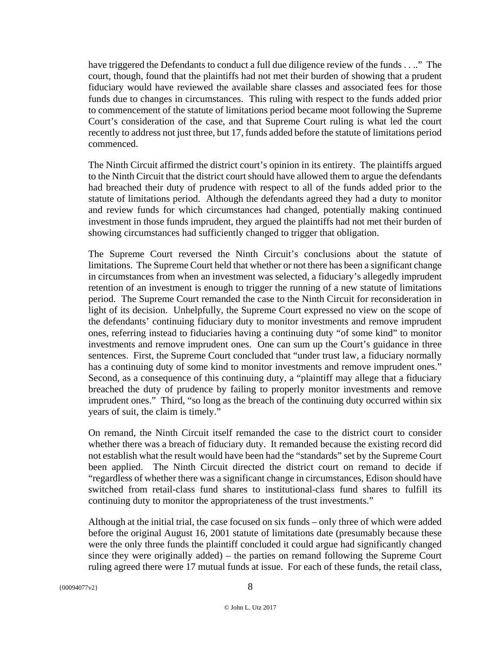have triggered the Defendants to conduct a full due diligence review of the funds . . .." The court, though, found that the plaintiffs had not met their burden of showing that a prudent fiduciary would have reviewed the available share classes and associated fees for those funds due to changes in circumstances. This ruling with respect to the funds added prior to commencement of the statute of limitations period became moot following the Supreme Court's consideration of the case, and that Supreme Court ruling is what led the court recently to address not just three, but 17, funds added before the statute of limitations period commenced.

The Ninth Circuit affirmed the district court's opinion in its entirety. The plaintiffs argued to the Ninth Circuit that the district court should have allowed them to argue the defendants had breached their duty of prudence with respect to all of the funds added prior to the statute of limitations period. Although the defendants agreed they had a duty to monitor and review funds for which circumstances had changed, potentially making continued investment in those funds imprudent, they argued the plaintiffs had not met their burden of showing circumstances had sufficiently changed to trigger that obligation.

The Supreme Court reversed the Ninth Circuit's conclusions about the statute of limitations. The Supreme Court held that whether or not there has been a significant change in circumstances from when an investment was selected, a fiduciary's allegedly imprudent retention of an investment is enough to trigger the running of a new statute of limitations period. The Supreme Court remanded the case to the Ninth Circuit for reconsideration in light of its decision. Unhelpfully, the Supreme Court expressed no view on the scope of the defendants' continuing fiduciary duty to monitor investments and remove imprudent ones, referring instead to fiduciaries having a continuing duty "of some kind" to monitor investments and remove imprudent ones. One can sum up the Court's guidance in three sentences. First, the Supreme Court concluded that "under trust law, a fiduciary normally has a continuing duty of some kind to monitor investments and remove imprudent ones." Second, as a consequence of this continuing duty, a "plaintiff may allege that a fiduciary breached the duty of prudence by failing to properly monitor investments and remove imprudent ones." Third, "so long as the breach of the continuing duty occurred within six years of suit, the claim is timely."

On remand, the Ninth Circuit itself remanded the case to the district court to consider whether there was a breach of fiduciary duty. It remanded because the existing record did not establish what the result would have been had the "standards" set by the Supreme Court been applied. The Ninth Circuit directed the district court on remand to decide if "regardless of whether there was a significant change in circumstances, Edison should have switched from retail-class fund shares to institutional-class fund shares to fulfill its continuing duty to monitor the appropriateness of the trust investments."

Although at the initial trial, the case focused on six funds – only three of which were added before the original August 16, 2001 statute of limitations date (presumably because these were the only three funds the plaintiff concluded it could argue had significantly changed since they were originally added) – the parties on remand following the Supreme Court ruling agreed there were 17 mutual funds at issue. For each of these funds, the retail class,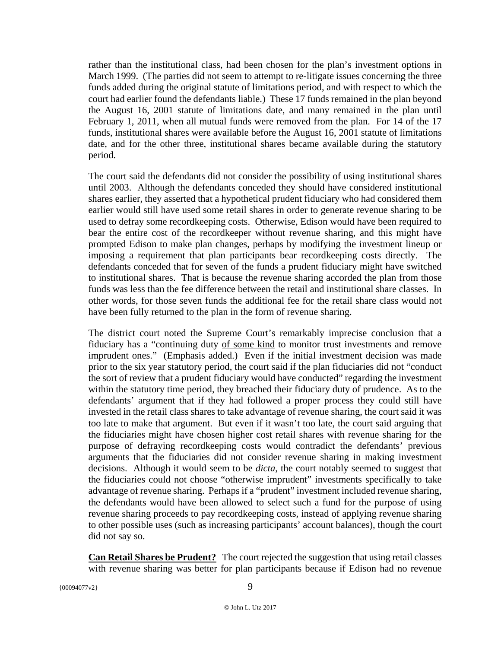rather than the institutional class, had been chosen for the plan's investment options in March 1999. (The parties did not seem to attempt to re-litigate issues concerning the three funds added during the original statute of limitations period, and with respect to which the court had earlier found the defendants liable.) These 17 funds remained in the plan beyond the August 16, 2001 statute of limitations date, and many remained in the plan until February 1, 2011, when all mutual funds were removed from the plan. For 14 of the 17 funds, institutional shares were available before the August 16, 2001 statute of limitations date, and for the other three, institutional shares became available during the statutory period.

The court said the defendants did not consider the possibility of using institutional shares until 2003. Although the defendants conceded they should have considered institutional shares earlier, they asserted that a hypothetical prudent fiduciary who had considered them earlier would still have used some retail shares in order to generate revenue sharing to be used to defray some recordkeeping costs. Otherwise, Edison would have been required to bear the entire cost of the recordkeeper without revenue sharing, and this might have prompted Edison to make plan changes, perhaps by modifying the investment lineup or imposing a requirement that plan participants bear recordkeeping costs directly. The defendants conceded that for seven of the funds a prudent fiduciary might have switched to institutional shares. That is because the revenue sharing accorded the plan from those funds was less than the fee difference between the retail and institutional share classes. In other words, for those seven funds the additional fee for the retail share class would not have been fully returned to the plan in the form of revenue sharing.

The district court noted the Supreme Court's remarkably imprecise conclusion that a fiduciary has a "continuing duty of some kind to monitor trust investments and remove imprudent ones." (Emphasis added.) Even if the initial investment decision was made prior to the six year statutory period, the court said if the plan fiduciaries did not "conduct the sort of review that a prudent fiduciary would have conducted" regarding the investment within the statutory time period, they breached their fiduciary duty of prudence. As to the defendants' argument that if they had followed a proper process they could still have invested in the retail class shares to take advantage of revenue sharing, the court said it was too late to make that argument. But even if it wasn't too late, the court said arguing that the fiduciaries might have chosen higher cost retail shares with revenue sharing for the purpose of defraying recordkeeping costs would contradict the defendants' previous arguments that the fiduciaries did not consider revenue sharing in making investment decisions. Although it would seem to be *dicta*, the court notably seemed to suggest that the fiduciaries could not choose "otherwise imprudent" investments specifically to take advantage of revenue sharing. Perhaps if a "prudent" investment included revenue sharing, the defendants would have been allowed to select such a fund for the purpose of using revenue sharing proceeds to pay recordkeeping costs, instead of applying revenue sharing to other possible uses (such as increasing participants' account balances), though the court did not say so.

**Can Retail Shares be Prudent?** The court rejected the suggestion that using retail classes with revenue sharing was better for plan participants because if Edison had no revenue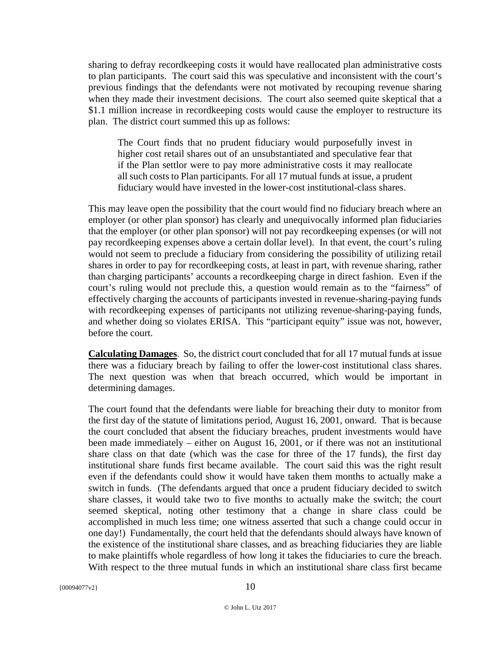sharing to defray recordkeeping costs it would have reallocated plan administrative costs to plan participants. The court said this was speculative and inconsistent with the court's previous findings that the defendants were not motivated by recouping revenue sharing when they made their investment decisions. The court also seemed quite skeptical that a \$1.1 million increase in recordkeeping costs would cause the employer to restructure its plan. The district court summed this up as follows:

The Court finds that no prudent fiduciary would purposefully invest in higher cost retail shares out of an unsubstantiated and speculative fear that if the Plan settlor were to pay more administrative costs it may reallocate all such costs to Plan participants. For all 17 mutual funds at issue, a prudent fiduciary would have invested in the lower-cost institutional-class shares.

This may leave open the possibility that the court would find no fiduciary breach where an employer (or other plan sponsor) has clearly and unequivocally informed plan fiduciaries that the employer (or other plan sponsor) will not pay recordkeeping expenses (or will not pay recordkeeping expenses above a certain dollar level). In that event, the court's ruling would not seem to preclude a fiduciary from considering the possibility of utilizing retail shares in order to pay for recordkeeping costs, at least in part, with revenue sharing, rather than charging participants' accounts a recordkeeping charge in direct fashion. Even if the court's ruling would not preclude this, a question would remain as to the "fairness" of effectively charging the accounts of participants invested in revenue-sharing-paying funds with recordkeeping expenses of participants not utilizing revenue-sharing-paying funds, and whether doing so violates ERISA. This "participant equity" issue was not, however, before the court.

**Calculating Damages**. So, the district court concluded that for all 17 mutual funds at issue there was a fiduciary breach by failing to offer the lower-cost institutional class shares. The next question was when that breach occurred, which would be important in determining damages.

The court found that the defendants were liable for breaching their duty to monitor from the first day of the statute of limitations period, August 16, 2001, onward. That is because the court concluded that absent the fiduciary breaches, prudent investments would have been made immediately – either on August 16, 2001, or if there was not an institutional share class on that date (which was the case for three of the 17 funds), the first day institutional share funds first became available. The court said this was the right result even if the defendants could show it would have taken them months to actually make a switch in funds. (The defendants argued that once a prudent fiduciary decided to switch share classes, it would take two to five months to actually make the switch; the court seemed skeptical, noting other testimony that a change in share class could be accomplished in much less time; one witness asserted that such a change could occur in one day!) Fundamentally, the court held that the defendants should always have known of the existence of the institutional share classes, and as breaching fiduciaries they are liable to make plaintiffs whole regardless of how long it takes the fiduciaries to cure the breach. With respect to the three mutual funds in which an institutional share class first became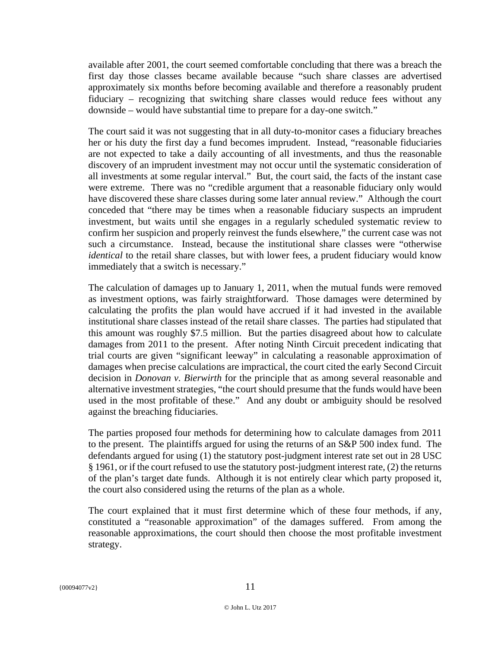available after 2001, the court seemed comfortable concluding that there was a breach the first day those classes became available because "such share classes are advertised approximately six months before becoming available and therefore a reasonably prudent fiduciary – recognizing that switching share classes would reduce fees without any downside – would have substantial time to prepare for a day-one switch."

The court said it was not suggesting that in all duty-to-monitor cases a fiduciary breaches her or his duty the first day a fund becomes imprudent. Instead, "reasonable fiduciaries are not expected to take a daily accounting of all investments, and thus the reasonable discovery of an imprudent investment may not occur until the systematic consideration of all investments at some regular interval." But, the court said, the facts of the instant case were extreme. There was no "credible argument that a reasonable fiduciary only would have discovered these share classes during some later annual review." Although the court conceded that "there may be times when a reasonable fiduciary suspects an imprudent investment, but waits until she engages in a regularly scheduled systematic review to confirm her suspicion and properly reinvest the funds elsewhere," the current case was not such a circumstance. Instead, because the institutional share classes were "otherwise *identical* to the retail share classes, but with lower fees, a prudent fiduciary would know immediately that a switch is necessary."

The calculation of damages up to January 1, 2011, when the mutual funds were removed as investment options, was fairly straightforward. Those damages were determined by calculating the profits the plan would have accrued if it had invested in the available institutional share classes instead of the retail share classes. The parties had stipulated that this amount was roughly \$7.5 million. But the parties disagreed about how to calculate damages from 2011 to the present. After noting Ninth Circuit precedent indicating that trial courts are given "significant leeway" in calculating a reasonable approximation of damages when precise calculations are impractical, the court cited the early Second Circuit decision in *Donovan v. Bierwirth* for the principle that as among several reasonable and alternative investment strategies, "the court should presume that the funds would have been used in the most profitable of these." And any doubt or ambiguity should be resolved against the breaching fiduciaries.

The parties proposed four methods for determining how to calculate damages from 2011 to the present. The plaintiffs argued for using the returns of an S&P 500 index fund. The defendants argued for using (1) the statutory post-judgment interest rate set out in 28 USC § 1961, or if the court refused to use the statutory post-judgment interest rate, (2) the returns of the plan's target date funds. Although it is not entirely clear which party proposed it, the court also considered using the returns of the plan as a whole.

The court explained that it must first determine which of these four methods, if any, constituted a "reasonable approximation" of the damages suffered. From among the reasonable approximations, the court should then choose the most profitable investment strategy.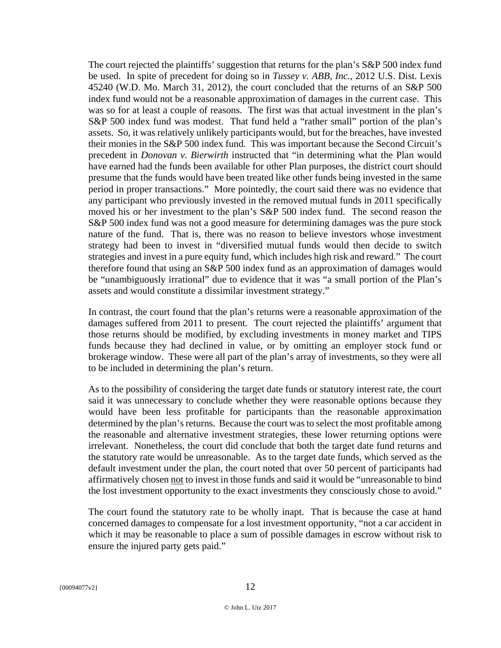The court rejected the plaintiffs' suggestion that returns for the plan's S&P 500 index fund be used. In spite of precedent for doing so in *Tussey v. ABB, Inc.*, 2012 U.S. Dist. Lexis 45240 (W.D. Mo. March 31, 2012), the court concluded that the returns of an S&P 500 index fund would not be a reasonable approximation of damages in the current case. This was so for at least a couple of reasons. The first was that actual investment in the plan's S&P 500 index fund was modest. That fund held a "rather small" portion of the plan's assets. So, it was relatively unlikely participants would, but for the breaches, have invested their monies in the S&P 500 index fund. This was important because the Second Circuit's precedent in *Donovan v. Bierwirth* instructed that "in determining what the Plan would have earned had the funds been available for other Plan purposes, the district court should presume that the funds would have been treated like other funds being invested in the same period in proper transactions." More pointedly, the court said there was no evidence that any participant who previously invested in the removed mutual funds in 2011 specifically moved his or her investment to the plan's S&P 500 index fund. The second reason the S&P 500 index fund was not a good measure for determining damages was the pure stock nature of the fund. That is, there was no reason to believe investors whose investment strategy had been to invest in "diversified mutual funds would then decide to switch strategies and invest in a pure equity fund, which includes high risk and reward." The court therefore found that using an S&P 500 index fund as an approximation of damages would be "unambiguously irrational" due to evidence that it was "a small portion of the Plan's assets and would constitute a dissimilar investment strategy."

In contrast, the court found that the plan's returns were a reasonable approximation of the damages suffered from 2011 to present. The court rejected the plaintiffs' argument that those returns should be modified, by excluding investments in money market and TIPS funds because they had declined in value, or by omitting an employer stock fund or brokerage window. These were all part of the plan's array of investments, so they were all to be included in determining the plan's return.

As to the possibility of considering the target date funds or statutory interest rate, the court said it was unnecessary to conclude whether they were reasonable options because they would have been less profitable for participants than the reasonable approximation determined by the plan's returns. Because the court was to select the most profitable among the reasonable and alternative investment strategies, these lower returning options were irrelevant. Nonetheless, the court did conclude that both the target date fund returns and the statutory rate would be unreasonable. As to the target date funds, which served as the default investment under the plan, the court noted that over 50 percent of participants had affirmatively chosen not to invest in those funds and said it would be "unreasonable to bind the lost investment opportunity to the exact investments they consciously chose to avoid."

The court found the statutory rate to be wholly inapt. That is because the case at hand concerned damages to compensate for a lost investment opportunity, "not a car accident in which it may be reasonable to place a sum of possible damages in escrow without risk to ensure the injured party gets paid."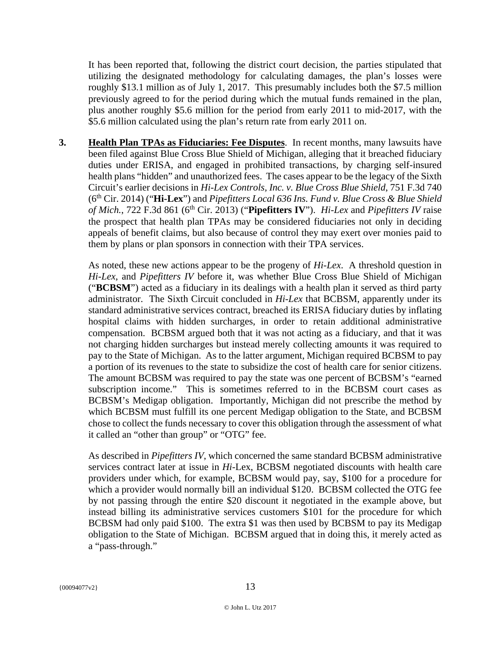It has been reported that, following the district court decision, the parties stipulated that utilizing the designated methodology for calculating damages, the plan's losses were roughly \$13.1 million as of July 1, 2017. This presumably includes both the \$7.5 million previously agreed to for the period during which the mutual funds remained in the plan, plus another roughly \$5.6 million for the period from early 2011 to mid-2017, with the \$5.6 million calculated using the plan's return rate from early 2011 on.

**3. Health Plan TPAs as Fiduciaries: Fee Disputes**. In recent months, many lawsuits have been filed against Blue Cross Blue Shield of Michigan, alleging that it breached fiduciary duties under ERISA, and engaged in prohibited transactions, by charging self-insured health plans "hidden" and unauthorized fees. The cases appear to be the legacy of the Sixth Circuit's earlier decisions in *Hi-Lex Controls, Inc. v. Blue Cross Blue Shield*, 751 F.3d 740 (6th Cir. 2014) ("**Hi-Lex**") and *Pipefitters Local 636 Ins. Fund v. Blue Cross & Blue Shield of Mich.*, 722 F.3d 861 (6th Cir. 2013) ("**Pipefitters IV**"). *Hi-Lex* and *Pipefitters IV* raise the prospect that health plan TPAs may be considered fiduciaries not only in deciding appeals of benefit claims, but also because of control they may exert over monies paid to them by plans or plan sponsors in connection with their TPA services.

As noted, these new actions appear to be the progeny of *Hi-Lex*. A threshold question in *Hi-Lex*, and *Pipefitters IV* before it, was whether Blue Cross Blue Shield of Michigan ("**BCBSM**") acted as a fiduciary in its dealings with a health plan it served as third party administrator. The Sixth Circuit concluded in *Hi-Lex* that BCBSM, apparently under its standard administrative services contract, breached its ERISA fiduciary duties by inflating hospital claims with hidden surcharges, in order to retain additional administrative compensation. BCBSM argued both that it was not acting as a fiduciary, and that it was not charging hidden surcharges but instead merely collecting amounts it was required to pay to the State of Michigan. As to the latter argument, Michigan required BCBSM to pay a portion of its revenues to the state to subsidize the cost of health care for senior citizens. The amount BCBSM was required to pay the state was one percent of BCBSM's "earned subscription income." This is sometimes referred to in the BCBSM court cases as BCBSM's Medigap obligation. Importantly, Michigan did not prescribe the method by which BCBSM must fulfill its one percent Medigap obligation to the State, and BCBSM chose to collect the funds necessary to cover this obligation through the assessment of what it called an "other than group" or "OTG" fee.

As described in *Pipefitters IV*, which concerned the same standard BCBSM administrative services contract later at issue in *Hi*-Lex, BCBSM negotiated discounts with health care providers under which, for example, BCBSM would pay, say, \$100 for a procedure for which a provider would normally bill an individual \$120. BCBSM collected the OTG fee by not passing through the entire \$20 discount it negotiated in the example above, but instead billing its administrative services customers \$101 for the procedure for which BCBSM had only paid \$100. The extra \$1 was then used by BCBSM to pay its Medigap obligation to the State of Michigan. BCBSM argued that in doing this, it merely acted as a "pass-through."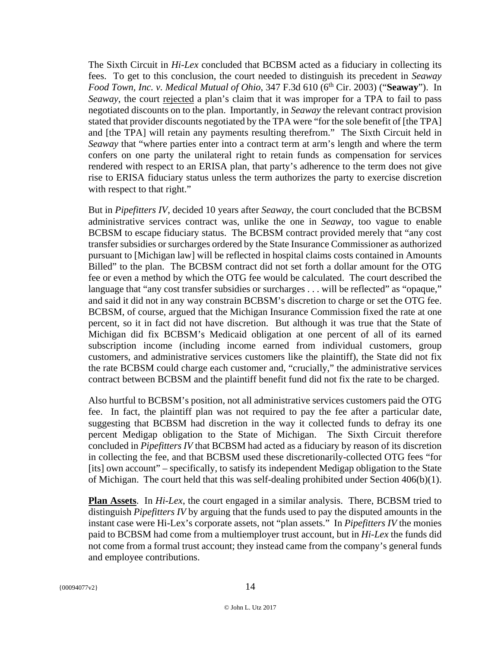The Sixth Circuit in *Hi*-*Lex* concluded that BCBSM acted as a fiduciary in collecting its fees. To get to this conclusion, the court needed to distinguish its precedent in *Seaway Food Town, Inc. v. Medical Mutual of Ohio, 347 F.3d 610 (6<sup>th</sup> Cir. 2003) ("Seaway"). In* Seaway, the court rejected a plan's claim that it was improper for a TPA to fail to pass negotiated discounts on to the plan. Importantly, in *Seaway* the relevant contract provision stated that provider discounts negotiated by the TPA were "for the sole benefit of [the TPA] and [the TPA] will retain any payments resulting therefrom." The Sixth Circuit held in *Seaway* that "where parties enter into a contract term at arm's length and where the term confers on one party the unilateral right to retain funds as compensation for services rendered with respect to an ERISA plan, that party's adherence to the term does not give rise to ERISA fiduciary status unless the term authorizes the party to exercise discretion with respect to that right."

But in *Pipefitters IV*, decided 10 years after *Seaway*, the court concluded that the BCBSM administrative services contract was, unlike the one in *Seaway*, too vague to enable BCBSM to escape fiduciary status. The BCBSM contract provided merely that "any cost transfer subsidies or surcharges ordered by the State Insurance Commissioner as authorized pursuant to [Michigan law] will be reflected in hospital claims costs contained in Amounts Billed" to the plan. The BCBSM contract did not set forth a dollar amount for the OTG fee or even a method by which the OTG fee would be calculated. The court described the language that "any cost transfer subsidies or surcharges . . . will be reflected" as "opaque," and said it did not in any way constrain BCBSM's discretion to charge or set the OTG fee. BCBSM, of course, argued that the Michigan Insurance Commission fixed the rate at one percent, so it in fact did not have discretion. But although it was true that the State of Michigan did fix BCBSM's Medicaid obligation at one percent of all of its earned subscription income (including income earned from individual customers, group customers, and administrative services customers like the plaintiff), the State did not fix the rate BCBSM could charge each customer and, "crucially," the administrative services contract between BCBSM and the plaintiff benefit fund did not fix the rate to be charged.

Also hurtful to BCBSM's position, not all administrative services customers paid the OTG fee. In fact, the plaintiff plan was not required to pay the fee after a particular date, suggesting that BCBSM had discretion in the way it collected funds to defray its one percent Medigap obligation to the State of Michigan. The Sixth Circuit therefore concluded in *Pipefitters IV* that BCBSM had acted as a fiduciary by reason of its discretion in collecting the fee, and that BCBSM used these discretionarily-collected OTG fees "for [its] own account" – specifically, to satisfy its independent Medigap obligation to the State of Michigan. The court held that this was self-dealing prohibited under Section 406(b)(1).

**Plan Assets**. In *Hi-Lex*, the court engaged in a similar analysis. There, BCBSM tried to distinguish *Pipefitters IV* by arguing that the funds used to pay the disputed amounts in the instant case were Hi-Lex's corporate assets, not "plan assets." In *Pipefitters IV* the monies paid to BCBSM had come from a multiemployer trust account, but in *Hi-Lex* the funds did not come from a formal trust account; they instead came from the company's general funds and employee contributions.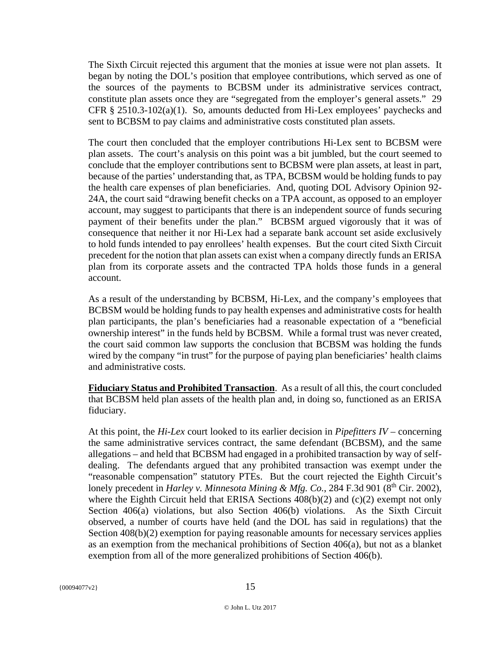The Sixth Circuit rejected this argument that the monies at issue were not plan assets. It began by noting the DOL's position that employee contributions, which served as one of the sources of the payments to BCBSM under its administrative services contract, constitute plan assets once they are "segregated from the employer's general assets." 29 CFR  $\S$  2510.3-102(a)(1). So, amounts deducted from Hi-Lex employees' paychecks and sent to BCBSM to pay claims and administrative costs constituted plan assets.

The court then concluded that the employer contributions Hi-Lex sent to BCBSM were plan assets. The court's analysis on this point was a bit jumbled, but the court seemed to conclude that the employer contributions sent to BCBSM were plan assets, at least in part, because of the parties' understanding that, as TPA, BCBSM would be holding funds to pay the health care expenses of plan beneficiaries. And, quoting DOL Advisory Opinion 92- 24A, the court said "drawing benefit checks on a TPA account, as opposed to an employer account, may suggest to participants that there is an independent source of funds securing payment of their benefits under the plan." BCBSM argued vigorously that it was of consequence that neither it nor Hi-Lex had a separate bank account set aside exclusively to hold funds intended to pay enrollees' health expenses. But the court cited Sixth Circuit precedent for the notion that plan assets can exist when a company directly funds an ERISA plan from its corporate assets and the contracted TPA holds those funds in a general account.

As a result of the understanding by BCBSM, Hi-Lex, and the company's employees that BCBSM would be holding funds to pay health expenses and administrative costs for health plan participants, the plan's beneficiaries had a reasonable expectation of a "beneficial ownership interest" in the funds held by BCBSM. While a formal trust was never created, the court said common law supports the conclusion that BCBSM was holding the funds wired by the company "in trust" for the purpose of paying plan beneficiaries' health claims and administrative costs.

**Fiduciary Status and Prohibited Transaction**. As a result of all this, the court concluded that BCBSM held plan assets of the health plan and, in doing so, functioned as an ERISA fiduciary.

At this point, the *Hi-Lex* court looked to its earlier decision in *Pipefitters IV –* concerning the same administrative services contract, the same defendant (BCBSM), and the same allegations – and held that BCBSM had engaged in a prohibited transaction by way of selfdealing. The defendants argued that any prohibited transaction was exempt under the "reasonable compensation" statutory PTEs. But the court rejected the Eighth Circuit's lonely precedent in *Harley v. Minnesota Mining & Mfg. Co.*, 284 F.3d 901 (8<sup>th</sup> Cir. 2002), where the Eighth Circuit held that ERISA Sections  $408(b)(2)$  and (c)(2) exempt not only Section 406(a) violations, but also Section 406(b) violations. As the Sixth Circuit observed, a number of courts have held (and the DOL has said in regulations) that the Section 408(b)(2) exemption for paying reasonable amounts for necessary services applies as an exemption from the mechanical prohibitions of Section 406(a), but not as a blanket exemption from all of the more generalized prohibitions of Section 406(b).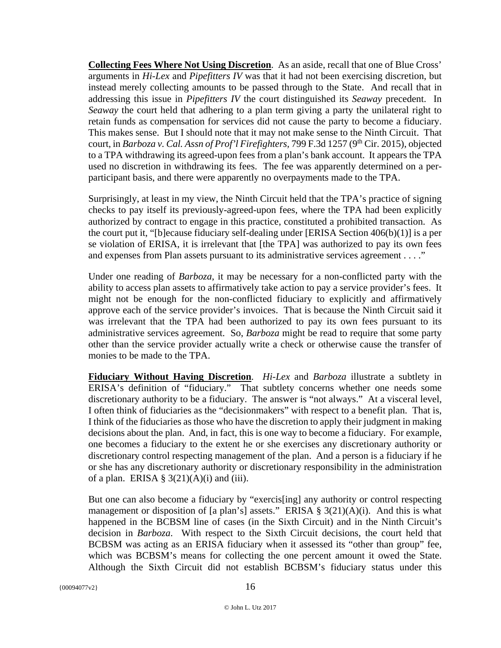**Collecting Fees Where Not Using Discretion**. As an aside, recall that one of Blue Cross' arguments in *Hi-Lex* and *Pipefitters IV* was that it had not been exercising discretion, but instead merely collecting amounts to be passed through to the State. And recall that in addressing this issue in *Pipefitters IV* the court distinguished its *Seaway* precedent. In *Seaway* the court held that adhering to a plan term giving a party the unilateral right to retain funds as compensation for services did not cause the party to become a fiduciary. This makes sense. But I should note that it may not make sense to the Ninth Circuit. That court, in *Barboza v. Cal. Assn of Prof'l Firefighters, 799 F.3d 1257 (9<sup>th</sup> Cir. 2015), objected* to a TPA withdrawing its agreed-upon fees from a plan's bank account. It appears the TPA used no discretion in withdrawing its fees. The fee was apparently determined on a perparticipant basis, and there were apparently no overpayments made to the TPA.

Surprisingly, at least in my view, the Ninth Circuit held that the TPA's practice of signing checks to pay itself its previously-agreed-upon fees, where the TPA had been explicitly authorized by contract to engage in this practice, constituted a prohibited transaction. As the court put it, "[b]ecause fiduciary self-dealing under [ERISA Section 406(b)(1)] is a per se violation of ERISA, it is irrelevant that [the TPA] was authorized to pay its own fees and expenses from Plan assets pursuant to its administrative services agreement . . . ."

Under one reading of *Barboza*, it may be necessary for a non-conflicted party with the ability to access plan assets to affirmatively take action to pay a service provider's fees. It might not be enough for the non-conflicted fiduciary to explicitly and affirmatively approve each of the service provider's invoices. That is because the Ninth Circuit said it was irrelevant that the TPA had been authorized to pay its own fees pursuant to its administrative services agreement. So, *Barboza* might be read to require that some party other than the service provider actually write a check or otherwise cause the transfer of monies to be made to the TPA.

**Fiduciary Without Having Discretion**. *Hi-Lex* and *Barboza* illustrate a subtlety in ERISA's definition of "fiduciary." That subtlety concerns whether one needs some discretionary authority to be a fiduciary. The answer is "not always." At a visceral level, I often think of fiduciaries as the "decisionmakers" with respect to a benefit plan. That is, I think of the fiduciaries as those who have the discretion to apply their judgment in making decisions about the plan. And, in fact, this is one way to become a fiduciary. For example, one becomes a fiduciary to the extent he or she exercises any discretionary authority or discretionary control respecting management of the plan. And a person is a fiduciary if he or she has any discretionary authority or discretionary responsibility in the administration of a plan. ERISA  $\S$  3(21)(A)(i) and (iii).

But one can also become a fiduciary by "exercis[ing] any authority or control respecting management or disposition of [a plan's] assets." ERISA §  $3(21)(A)(i)$ . And this is what happened in the BCBSM line of cases (in the Sixth Circuit) and in the Ninth Circuit's decision in *Barboza*. With respect to the Sixth Circuit decisions, the court held that BCBSM was acting as an ERISA fiduciary when it assessed its "other than group" fee, which was BCBSM's means for collecting the one percent amount it owed the State. Although the Sixth Circuit did not establish BCBSM's fiduciary status under this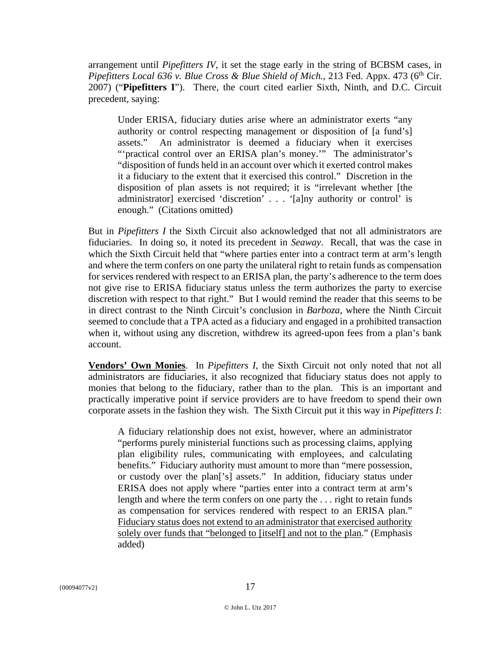arrangement until *Pipefitters IV*, it set the stage early in the string of BCBSM cases, in *Pipefitters Local 636 v. Blue Cross & Blue Shield of Mich.*, 213 Fed. Appx. 473 (6<sup>th</sup> Cir. 2007) ("**Pipefitters I**"). There, the court cited earlier Sixth, Ninth, and D.C. Circuit precedent, saying:

Under ERISA, fiduciary duties arise where an administrator exerts "any authority or control respecting management or disposition of [a fund's] assets." An administrator is deemed a fiduciary when it exercises "'practical control over an ERISA plan's money." The administrator's "disposition of funds held in an account over which it exerted control makes it a fiduciary to the extent that it exercised this control." Discretion in the disposition of plan assets is not required; it is "irrelevant whether [the administrator] exercised 'discretion' . . . '[a]ny authority or control' is enough." (Citations omitted)

But in *Pipefitters I* the Sixth Circuit also acknowledged that not all administrators are fiduciaries. In doing so, it noted its precedent in *Seaway*. Recall, that was the case in which the Sixth Circuit held that "where parties enter into a contract term at arm's length and where the term confers on one party the unilateral right to retain funds as compensation for services rendered with respect to an ERISA plan, the party's adherence to the term does not give rise to ERISA fiduciary status unless the term authorizes the party to exercise discretion with respect to that right." But I would remind the reader that this seems to be in direct contrast to the Ninth Circuit's conclusion in *Barboza*, where the Ninth Circuit seemed to conclude that a TPA acted as a fiduciary and engaged in a prohibited transaction when it, without using any discretion, withdrew its agreed-upon fees from a plan's bank account.

**Vendors' Own Monies**. In *Pipefitters I*, the Sixth Circuit not only noted that not all administrators are fiduciaries, it also recognized that fiduciary status does not apply to monies that belong to the fiduciary, rather than to the plan. This is an important and practically imperative point if service providers are to have freedom to spend their own corporate assets in the fashion they wish. The Sixth Circuit put it this way in *Pipefitters I*:

A fiduciary relationship does not exist, however, where an administrator "performs purely ministerial functions such as processing claims, applying plan eligibility rules, communicating with employees, and calculating benefits." Fiduciary authority must amount to more than "mere possession, or custody over the plan['s] assets." In addition, fiduciary status under ERISA does not apply where "parties enter into a contract term at arm's length and where the term confers on one party the . . . right to retain funds as compensation for services rendered with respect to an ERISA plan." Fiduciary status does not extend to an administrator that exercised authority solely over funds that "belonged to [itself] and not to the plan." (Emphasis added)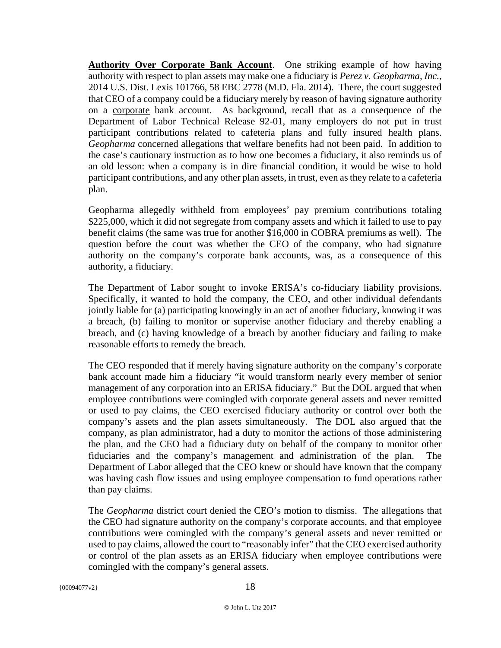**Authority Over Corporate Bank Account.** One striking example of how having authority with respect to plan assets may make one a fiduciary is *Perez v. Geopharma, Inc.*, 2014 U.S. Dist. Lexis 101766, 58 EBC 2778 (M.D. Fla. 2014). There, the court suggested that CEO of a company could be a fiduciary merely by reason of having signature authority on a corporate bank account. As background, recall that as a consequence of the Department of Labor Technical Release 92-01, many employers do not put in trust participant contributions related to cafeteria plans and fully insured health plans. *Geopharma* concerned allegations that welfare benefits had not been paid. In addition to the case's cautionary instruction as to how one becomes a fiduciary, it also reminds us of an old lesson: when a company is in dire financial condition, it would be wise to hold participant contributions, and any other plan assets, in trust, even as they relate to a cafeteria plan.

Geopharma allegedly withheld from employees' pay premium contributions totaling \$225,000, which it did not segregate from company assets and which it failed to use to pay benefit claims (the same was true for another \$16,000 in COBRA premiums as well). The question before the court was whether the CEO of the company, who had signature authority on the company's corporate bank accounts, was, as a consequence of this authority, a fiduciary.

The Department of Labor sought to invoke ERISA's co-fiduciary liability provisions. Specifically, it wanted to hold the company, the CEO, and other individual defendants jointly liable for (a) participating knowingly in an act of another fiduciary, knowing it was a breach, (b) failing to monitor or supervise another fiduciary and thereby enabling a breach, and (c) having knowledge of a breach by another fiduciary and failing to make reasonable efforts to remedy the breach.

The CEO responded that if merely having signature authority on the company's corporate bank account made him a fiduciary "it would transform nearly every member of senior management of any corporation into an ERISA fiduciary." But the DOL argued that when employee contributions were comingled with corporate general assets and never remitted or used to pay claims, the CEO exercised fiduciary authority or control over both the company's assets and the plan assets simultaneously. The DOL also argued that the company, as plan administrator, had a duty to monitor the actions of those administering the plan, and the CEO had a fiduciary duty on behalf of the company to monitor other fiduciaries and the company's management and administration of the plan. Department of Labor alleged that the CEO knew or should have known that the company was having cash flow issues and using employee compensation to fund operations rather than pay claims.

The *Geopharma* district court denied the CEO's motion to dismiss. The allegations that the CEO had signature authority on the company's corporate accounts, and that employee contributions were comingled with the company's general assets and never remitted or used to pay claims, allowed the court to "reasonably infer" that the CEO exercised authority or control of the plan assets as an ERISA fiduciary when employee contributions were comingled with the company's general assets.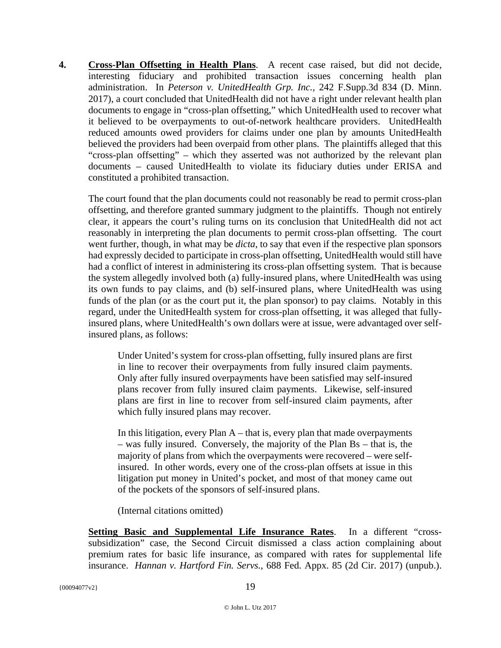**4. Cross-Plan Offsetting in Health Plans**. A recent case raised, but did not decide, interesting fiduciary and prohibited transaction issues concerning health plan administration. In *Peterson v. UnitedHealth Grp. Inc.,* 242 F.Supp.3d 834 (D. Minn. 2017), a court concluded that UnitedHealth did not have a right under relevant health plan documents to engage in "cross-plan offsetting," which UnitedHealth used to recover what it believed to be overpayments to out-of-network healthcare providers. UnitedHealth reduced amounts owed providers for claims under one plan by amounts UnitedHealth believed the providers had been overpaid from other plans. The plaintiffs alleged that this "cross-plan offsetting" – which they asserted was not authorized by the relevant plan documents – caused UnitedHealth to violate its fiduciary duties under ERISA and constituted a prohibited transaction.

The court found that the plan documents could not reasonably be read to permit cross-plan offsetting, and therefore granted summary judgment to the plaintiffs. Though not entirely clear, it appears the court's ruling turns on its conclusion that UnitedHealth did not act reasonably in interpreting the plan documents to permit cross-plan offsetting. The court went further, though, in what may be *dicta*, to say that even if the respective plan sponsors had expressly decided to participate in cross-plan offsetting, UnitedHealth would still have had a conflict of interest in administering its cross-plan offsetting system. That is because the system allegedly involved both (a) fully-insured plans, where UnitedHealth was using its own funds to pay claims, and (b) self-insured plans, where UnitedHealth was using funds of the plan (or as the court put it, the plan sponsor) to pay claims. Notably in this regard, under the UnitedHealth system for cross-plan offsetting, it was alleged that fullyinsured plans, where UnitedHealth's own dollars were at issue, were advantaged over selfinsured plans, as follows:

Under United's system for cross-plan offsetting, fully insured plans are first in line to recover their overpayments from fully insured claim payments. Only after fully insured overpayments have been satisfied may self-insured plans recover from fully insured claim payments. Likewise, self-insured plans are first in line to recover from self-insured claim payments, after which fully insured plans may recover.

In this litigation, every Plan  $A$  – that is, every plan that made overpayments – was fully insured. Conversely, the majority of the Plan Bs – that is, the majority of plans from which the overpayments were recovered – were selfinsured. In other words, every one of the cross-plan offsets at issue in this litigation put money in United's pocket, and most of that money came out of the pockets of the sponsors of self-insured plans.

(Internal citations omitted)

**Setting Basic and Supplemental Life Insurance Rates**. In a different "crosssubsidization" case, the Second Circuit dismissed a class action complaining about premium rates for basic life insurance, as compared with rates for supplemental life insurance. *Hannan v. Hartford Fin. Servs.,* 688 Fed. Appx. 85 (2d Cir. 2017) (unpub.).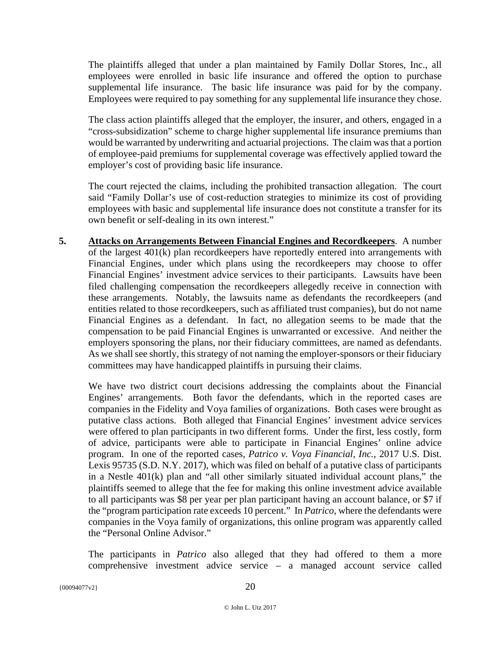The plaintiffs alleged that under a plan maintained by Family Dollar Stores, Inc., all employees were enrolled in basic life insurance and offered the option to purchase supplemental life insurance. The basic life insurance was paid for by the company. Employees were required to pay something for any supplemental life insurance they chose.

The class action plaintiffs alleged that the employer, the insurer, and others, engaged in a "cross-subsidization" scheme to charge higher supplemental life insurance premiums than would be warranted by underwriting and actuarial projections. The claim was that a portion of employee-paid premiums for supplemental coverage was effectively applied toward the employer's cost of providing basic life insurance.

The court rejected the claims, including the prohibited transaction allegation. The court said "Family Dollar's use of cost-reduction strategies to minimize its cost of providing employees with basic and supplemental life insurance does not constitute a transfer for its own benefit or self-dealing in its own interest."

**5. Attacks on Arrangements Between Financial Engines and Recordkeepers**. A number of the largest 401(k) plan recordkeepers have reportedly entered into arrangements with Financial Engines, under which plans using the recordkeepers may choose to offer Financial Engines' investment advice services to their participants. Lawsuits have been filed challenging compensation the recordkeepers allegedly receive in connection with these arrangements. Notably, the lawsuits name as defendants the recordkeepers (and entities related to those recordkeepers, such as affiliated trust companies), but do not name Financial Engines as a defendant. In fact, no allegation seems to be made that the compensation to be paid Financial Engines is unwarranted or excessive. And neither the employers sponsoring the plans, nor their fiduciary committees, are named as defendants. As we shall see shortly, this strategy of not naming the employer-sponsors or their fiduciary committees may have handicapped plaintiffs in pursuing their claims.

We have two district court decisions addressing the complaints about the Financial Engines' arrangements. Both favor the defendants, which in the reported cases are companies in the Fidelity and Voya families of organizations. Both cases were brought as putative class actions. Both alleged that Financial Engines' investment advice services were offered to plan participants in two different forms. Under the first, less costly, form of advice, participants were able to participate in Financial Engines' online advice program. In one of the reported cases, *Patrico v. Voya Financial, Inc.*, 2017 U.S. Dist. Lexis 95735 (S.D. N.Y. 2017), which was filed on behalf of a putative class of participants in a Nestle 401(k) plan and "all other similarly situated individual account plans," the plaintiffs seemed to allege that the fee for making this online investment advice available to all participants was \$8 per year per plan participant having an account balance, or \$7 if the "program participation rate exceeds 10 percent." In *Patrico*, where the defendants were companies in the Voya family of organizations, this online program was apparently called the "Personal Online Advisor."

The participants in *Patrico* also alleged that they had offered to them a more comprehensive investment advice service – a managed account service called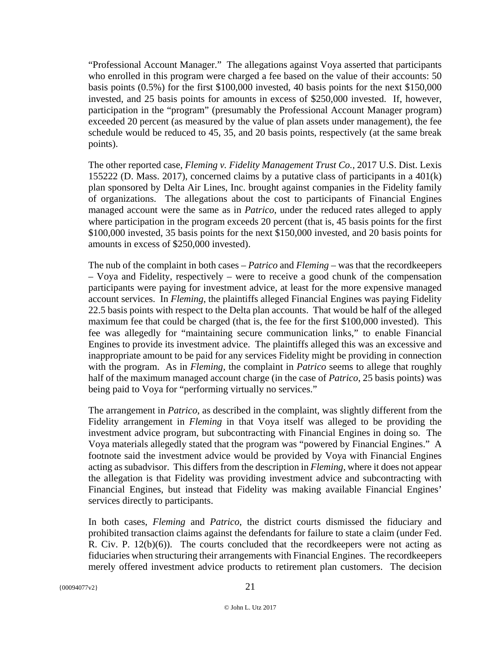"Professional Account Manager." The allegations against Voya asserted that participants who enrolled in this program were charged a fee based on the value of their accounts: 50 basis points (0.5%) for the first \$100,000 invested, 40 basis points for the next \$150,000 invested, and 25 basis points for amounts in excess of \$250,000 invested. If, however, participation in the "program" (presumably the Professional Account Manager program) exceeded 20 percent (as measured by the value of plan assets under management), the fee schedule would be reduced to 45, 35, and 20 basis points, respectively (at the same break points).

The other reported case, *Fleming v. Fidelity Management Trust Co.,* 2017 U.S. Dist. Lexis 155222 (D. Mass. 2017), concerned claims by a putative class of participants in a 401(k) plan sponsored by Delta Air Lines, Inc. brought against companies in the Fidelity family of organizations. The allegations about the cost to participants of Financial Engines managed account were the same as in *Patrico*, under the reduced rates alleged to apply where participation in the program exceeds 20 percent (that is, 45 basis points for the first \$100,000 invested, 35 basis points for the next \$150,000 invested, and 20 basis points for amounts in excess of \$250,000 invested).

The nub of the complaint in both cases – *Patrico* and *Fleming* – was that the recordkeepers – Voya and Fidelity, respectively – were to receive a good chunk of the compensation participants were paying for investment advice, at least for the more expensive managed account services. In *Fleming*, the plaintiffs alleged Financial Engines was paying Fidelity 22.5 basis points with respect to the Delta plan accounts. That would be half of the alleged maximum fee that could be charged (that is, the fee for the first \$100,000 invested). This fee was allegedly for "maintaining secure communication links," to enable Financial Engines to provide its investment advice. The plaintiffs alleged this was an excessive and inappropriate amount to be paid for any services Fidelity might be providing in connection with the program. As in *Fleming*, the complaint in *Patrico* seems to allege that roughly half of the maximum managed account charge (in the case of *Patrico*, 25 basis points) was being paid to Voya for "performing virtually no services."

The arrangement in *Patrico*, as described in the complaint, was slightly different from the Fidelity arrangement in *Fleming* in that Voya itself was alleged to be providing the investment advice program, but subcontracting with Financial Engines in doing so. The Voya materials allegedly stated that the program was "powered by Financial Engines." A footnote said the investment advice would be provided by Voya with Financial Engines acting as subadvisor. This differs from the description in *Fleming*, where it does not appear the allegation is that Fidelity was providing investment advice and subcontracting with Financial Engines, but instead that Fidelity was making available Financial Engines' services directly to participants.

In both cases, *Fleming* and *Patrico*, the district courts dismissed the fiduciary and prohibited transaction claims against the defendants for failure to state a claim (under Fed. R. Civ. P.  $12(b)(6)$ ). The courts concluded that the record keepers were not acting as fiduciaries when structuring their arrangements with Financial Engines. The recordkeepers merely offered investment advice products to retirement plan customers. The decision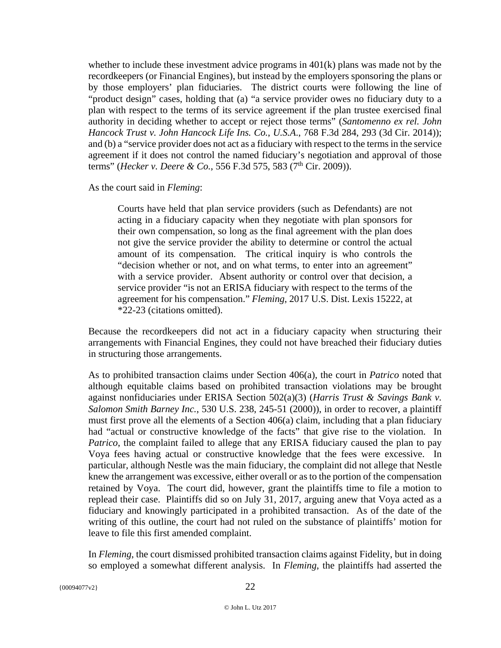whether to include these investment advice programs in 401(k) plans was made not by the recordkeepers (or Financial Engines), but instead by the employers sponsoring the plans or by those employers' plan fiduciaries. The district courts were following the line of "product design" cases, holding that (a) "a service provider owes no fiduciary duty to a plan with respect to the terms of its service agreement if the plan trustee exercised final authority in deciding whether to accept or reject those terms" (*Santomenno ex rel. John Hancock Trust v. John Hancock Life Ins. Co.*, *U.S.A*., 768 F.3d 284, 293 (3d Cir. 2014)); and (b) a "service provider does not act as a fiduciary with respect to the terms in the service agreement if it does not control the named fiduciary's negotiation and approval of those terms" (*Hecker v. Deere & Co.*, 556 F.3d 575, 583 (7<sup>th</sup> Cir. 2009)).

As the court said in *Fleming*:

Courts have held that plan service providers (such as Defendants) are not acting in a fiduciary capacity when they negotiate with plan sponsors for their own compensation, so long as the final agreement with the plan does not give the service provider the ability to determine or control the actual amount of its compensation. The critical inquiry is who controls the "decision whether or not, and on what terms, to enter into an agreement" with a service provider. Absent authority or control over that decision, a service provider "is not an ERISA fiduciary with respect to the terms of the agreement for his compensation." *Fleming*, 2017 U.S. Dist. Lexis 15222, at \*22-23 (citations omitted).

Because the recordkeepers did not act in a fiduciary capacity when structuring their arrangements with Financial Engines, they could not have breached their fiduciary duties in structuring those arrangements.

As to prohibited transaction claims under Section 406(a), the court in *Patrico* noted that although equitable claims based on prohibited transaction violations may be brought against nonfiduciaries under ERISA Section 502(a)(3) (*Harris Trust & Savings Bank v. Salomon Smith Barney Inc.*, 530 U.S. 238, 245-51 (2000)), in order to recover, a plaintiff must first prove all the elements of a Section 406(a) claim, including that a plan fiduciary had "actual or constructive knowledge of the facts" that give rise to the violation. In *Patrico*, the complaint failed to allege that any ERISA fiduciary caused the plan to pay Voya fees having actual or constructive knowledge that the fees were excessive. In particular, although Nestle was the main fiduciary, the complaint did not allege that Nestle knew the arrangement was excessive, either overall or as to the portion of the compensation retained by Voya. The court did, however, grant the plaintiffs time to file a motion to replead their case. Plaintiffs did so on July 31, 2017, arguing anew that Voya acted as a fiduciary and knowingly participated in a prohibited transaction. As of the date of the writing of this outline, the court had not ruled on the substance of plaintiffs' motion for leave to file this first amended complaint.

In *Fleming*, the court dismissed prohibited transaction claims against Fidelity, but in doing so employed a somewhat different analysis. In *Fleming*, the plaintiffs had asserted the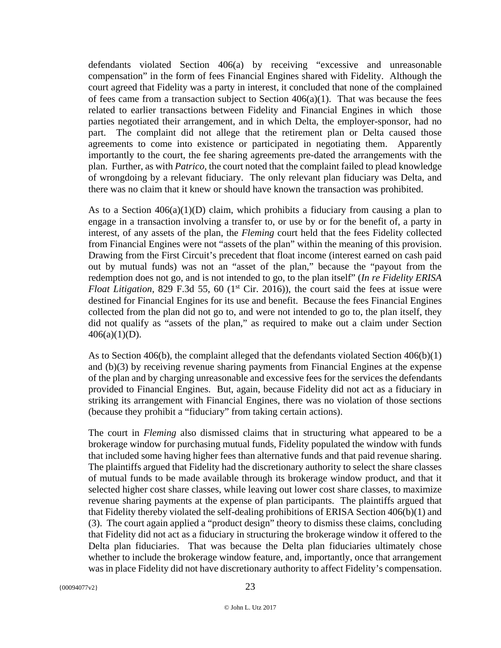defendants violated Section 406(a) by receiving "excessive and unreasonable compensation" in the form of fees Financial Engines shared with Fidelity. Although the court agreed that Fidelity was a party in interest, it concluded that none of the complained of fees came from a transaction subject to Section  $406(a)(1)$ . That was because the fees related to earlier transactions between Fidelity and Financial Engines in which those parties negotiated their arrangement, and in which Delta, the employer-sponsor, had no part. The complaint did not allege that the retirement plan or Delta caused those agreements to come into existence or participated in negotiating them. Apparently importantly to the court, the fee sharing agreements pre-dated the arrangements with the plan. Further, as with *Patrico*, the court noted that the complaint failed to plead knowledge of wrongdoing by a relevant fiduciary. The only relevant plan fiduciary was Delta, and there was no claim that it knew or should have known the transaction was prohibited.

As to a Section  $406(a)(1)(D)$  claim, which prohibits a fiduciary from causing a plan to engage in a transaction involving a transfer to, or use by or for the benefit of, a party in interest, of any assets of the plan, the *Fleming* court held that the fees Fidelity collected from Financial Engines were not "assets of the plan" within the meaning of this provision. Drawing from the First Circuit's precedent that float income (interest earned on cash paid out by mutual funds) was not an "asset of the plan," because the "payout from the redemption does not go, and is not intended to go, to the plan itself" (*In re Fidelity ERISA Float Litigation*, 829 F.3d 55, 60 ( $1<sup>st</sup>$  Cir. 2016)), the court said the fees at issue were destined for Financial Engines for its use and benefit. Because the fees Financial Engines collected from the plan did not go to, and were not intended to go to, the plan itself, they did not qualify as "assets of the plan," as required to make out a claim under Section  $406(a)(1)(D)$ .

As to Section 406(b), the complaint alleged that the defendants violated Section 406(b)(1) and (b)(3) by receiving revenue sharing payments from Financial Engines at the expense of the plan and by charging unreasonable and excessive fees for the services the defendants provided to Financial Engines. But, again, because Fidelity did not act as a fiduciary in striking its arrangement with Financial Engines, there was no violation of those sections (because they prohibit a "fiduciary" from taking certain actions).

The court in *Fleming* also dismissed claims that in structuring what appeared to be a brokerage window for purchasing mutual funds, Fidelity populated the window with funds that included some having higher fees than alternative funds and that paid revenue sharing. The plaintiffs argued that Fidelity had the discretionary authority to select the share classes of mutual funds to be made available through its brokerage window product, and that it selected higher cost share classes, while leaving out lower cost share classes, to maximize revenue sharing payments at the expense of plan participants. The plaintiffs argued that that Fidelity thereby violated the self-dealing prohibitions of ERISA Section 406(b)(1) and (3). The court again applied a "product design" theory to dismiss these claims, concluding that Fidelity did not act as a fiduciary in structuring the brokerage window it offered to the Delta plan fiduciaries. That was because the Delta plan fiduciaries ultimately chose whether to include the brokerage window feature, and, importantly, once that arrangement was in place Fidelity did not have discretionary authority to affect Fidelity's compensation.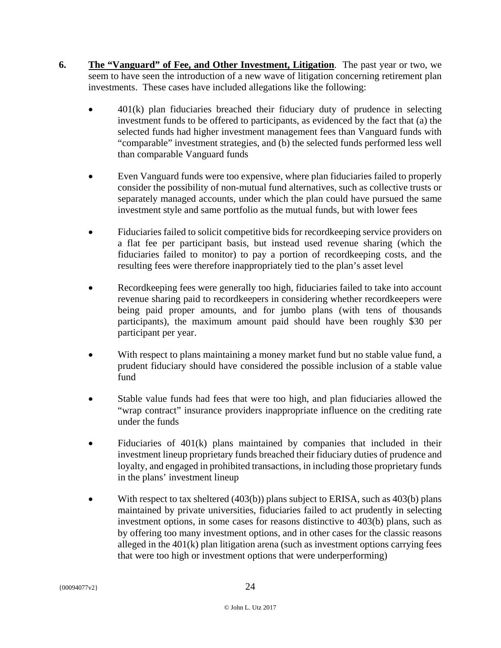- **6. The "Vanguard" of Fee, and Other Investment, Litigation**. The past year or two, we seem to have seen the introduction of a new wave of litigation concerning retirement plan investments. These cases have included allegations like the following:
	- 401(k) plan fiduciaries breached their fiduciary duty of prudence in selecting investment funds to be offered to participants, as evidenced by the fact that (a) the selected funds had higher investment management fees than Vanguard funds with "comparable" investment strategies, and (b) the selected funds performed less well than comparable Vanguard funds
	- Even Vanguard funds were too expensive, where plan fiduciaries failed to properly consider the possibility of non-mutual fund alternatives, such as collective trusts or separately managed accounts, under which the plan could have pursued the same investment style and same portfolio as the mutual funds, but with lower fees
	- Fiduciaries failed to solicit competitive bids for recordkeeping service providers on a flat fee per participant basis, but instead used revenue sharing (which the fiduciaries failed to monitor) to pay a portion of recordkeeping costs, and the resulting fees were therefore inappropriately tied to the plan's asset level
	- Recordkeeping fees were generally too high, fiduciaries failed to take into account revenue sharing paid to recordkeepers in considering whether recordkeepers were being paid proper amounts, and for jumbo plans (with tens of thousands participants), the maximum amount paid should have been roughly \$30 per participant per year.
	- With respect to plans maintaining a money market fund but no stable value fund, a prudent fiduciary should have considered the possible inclusion of a stable value fund
	- Stable value funds had fees that were too high, and plan fiduciaries allowed the "wrap contract" insurance providers inappropriate influence on the crediting rate under the funds
	- Fiduciaries of  $401(k)$  plans maintained by companies that included in their investment lineup proprietary funds breached their fiduciary duties of prudence and loyalty, and engaged in prohibited transactions, in including those proprietary funds in the plans' investment lineup
	- With respect to tax sheltered (403(b)) plans subject to ERISA, such as 403(b) plans maintained by private universities, fiduciaries failed to act prudently in selecting investment options, in some cases for reasons distinctive to 403(b) plans, such as by offering too many investment options, and in other cases for the classic reasons alleged in the 401(k) plan litigation arena (such as investment options carrying fees that were too high or investment options that were underperforming)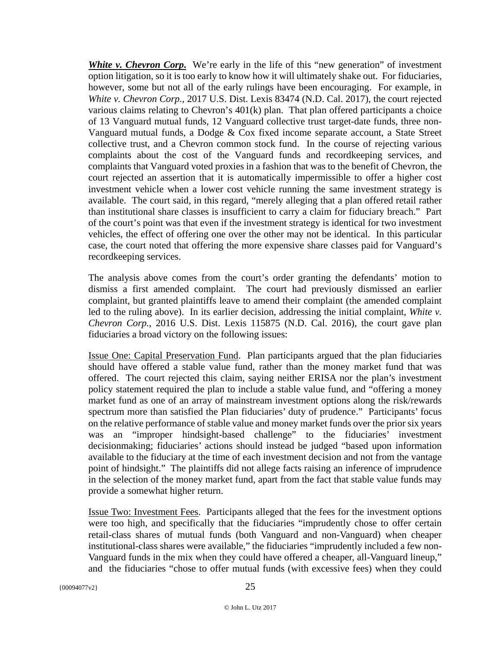*White v. Chevron Corp***.** We're early in the life of this "new generation" of investment option litigation, so it is too early to know how it will ultimately shake out. For fiduciaries, however, some but not all of the early rulings have been encouraging. For example, in *White v. Chevron Corp.*, 2017 U.S. Dist. Lexis 83474 (N.D. Cal. 2017), the court rejected various claims relating to Chevron's 401(k) plan. That plan offered participants a choice of 13 Vanguard mutual funds, 12 Vanguard collective trust target-date funds, three non-Vanguard mutual funds, a Dodge & Cox fixed income separate account, a State Street collective trust, and a Chevron common stock fund. In the course of rejecting various complaints about the cost of the Vanguard funds and recordkeeping services, and complaints that Vanguard voted proxies in a fashion that was to the benefit of Chevron, the court rejected an assertion that it is automatically impermissible to offer a higher cost investment vehicle when a lower cost vehicle running the same investment strategy is available. The court said, in this regard, "merely alleging that a plan offered retail rather than institutional share classes is insufficient to carry a claim for fiduciary breach." Part of the court's point was that even if the investment strategy is identical for two investment vehicles, the effect of offering one over the other may not be identical. In this particular case, the court noted that offering the more expensive share classes paid for Vanguard's recordkeeping services.

The analysis above comes from the court's order granting the defendants' motion to dismiss a first amended complaint. The court had previously dismissed an earlier complaint, but granted plaintiffs leave to amend their complaint (the amended complaint led to the ruling above). In its earlier decision, addressing the initial complaint, *White v. Chevron Corp.*, 2016 U.S. Dist. Lexis 115875 (N.D. Cal. 2016), the court gave plan fiduciaries a broad victory on the following issues:

Issue One: Capital Preservation Fund. Plan participants argued that the plan fiduciaries should have offered a stable value fund, rather than the money market fund that was offered. The court rejected this claim, saying neither ERISA nor the plan's investment policy statement required the plan to include a stable value fund, and "offering a money market fund as one of an array of mainstream investment options along the risk/rewards spectrum more than satisfied the Plan fiduciaries' duty of prudence." Participants' focus on the relative performance of stable value and money market funds over the prior six years was an "improper hindsight-based challenge" to the fiduciaries' investment decisionmaking; fiduciaries' actions should instead be judged "based upon information available to the fiduciary at the time of each investment decision and not from the vantage point of hindsight." The plaintiffs did not allege facts raising an inference of imprudence in the selection of the money market fund, apart from the fact that stable value funds may provide a somewhat higher return.

Issue Two: Investment Fees. Participants alleged that the fees for the investment options were too high, and specifically that the fiduciaries "imprudently chose to offer certain retail-class shares of mutual funds (both Vanguard and non-Vanguard) when cheaper institutional-class shares were available," the fiduciaries "imprudently included a few non-Vanguard funds in the mix when they could have offered a cheaper, all-Vanguard lineup," and the fiduciaries "chose to offer mutual funds (with excessive fees) when they could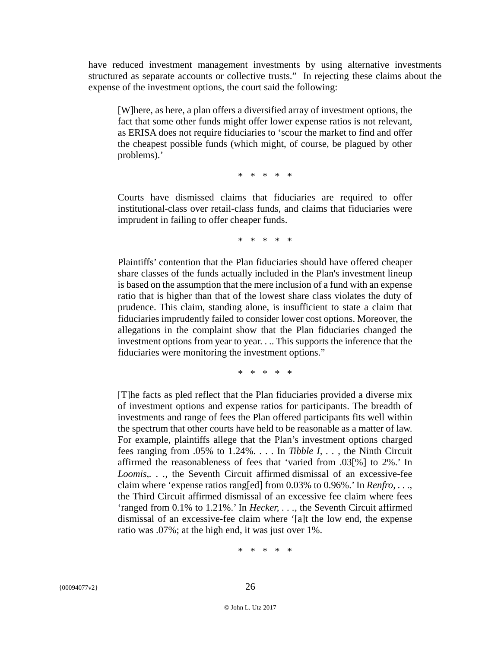have reduced investment management investments by using alternative investments structured as separate accounts or collective trusts." In rejecting these claims about the expense of the investment options, the court said the following:

[W]here, as here, a plan offers a diversified array of investment options, the fact that some other funds might offer lower expense ratios is not relevant, as ERISA does not require fiduciaries to 'scour the market to find and offer the cheapest possible funds (which might, of course, be plagued by other problems).'

\* \* \* \* \*

Courts have dismissed claims that fiduciaries are required to offer institutional-class over retail-class funds, and claims that fiduciaries were imprudent in failing to offer cheaper funds.

\* \* \* \* \*

Plaintiffs' contention that the Plan fiduciaries should have offered cheaper share classes of the funds actually included in the Plan's investment lineup is based on the assumption that the mere inclusion of a fund with an expense ratio that is higher than that of the lowest share class violates the duty of prudence. This claim, standing alone, is insufficient to state a claim that fiduciaries imprudently failed to consider lower cost options. Moreover, the allegations in the complaint show that the Plan fiduciaries changed the investment options from year to year. . .. This supports the inference that the fiduciaries were monitoring the investment options."

\* \* \* \* \*

[T]he facts as pled reflect that the Plan fiduciaries provided a diverse mix of investment options and expense ratios for participants. The breadth of investments and range of fees the Plan offered participants fits well within the spectrum that other courts have held to be reasonable as a matter of law. For example, plaintiffs allege that the Plan's investment options charged fees ranging from .05% to 1.24%. . . . In *Tibble I, . .* , the Ninth Circuit affirmed the reasonableness of fees that 'varied from .03[%] to 2%.' In *Loomis*,*. . .*, the Seventh Circuit affirmed dismissal of an excessive-fee claim where 'expense ratios rang[ed] from 0.03% to 0.96%.' In *Renfro, . . .,* the Third Circuit affirmed dismissal of an excessive fee claim where fees 'ranged from 0.1% to 1.21%.' In *Hecker, . . .*, the Seventh Circuit affirmed dismissal of an excessive-fee claim where '[a]t the low end, the expense ratio was .07%; at the high end, it was just over 1%.

\* \* \* \* \*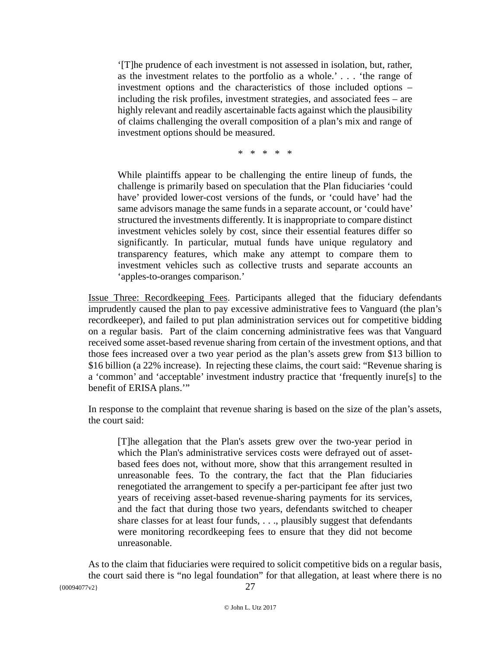'[T]he prudence of each investment is not assessed in isolation, but, rather, as the investment relates to the portfolio as a whole.' . . . 'the range of investment options and the characteristics of those included options – including the risk profiles, investment strategies, and associated fees – are highly relevant and readily ascertainable facts against which the plausibility of claims challenging the overall composition of a plan's mix and range of investment options should be measured.

\* \* \* \* \*

While plaintiffs appear to be challenging the entire lineup of funds, the challenge is primarily based on speculation that the Plan fiduciaries 'could have' provided lower-cost versions of the funds, or 'could have' had the same advisors manage the same funds in a separate account, or 'could have' structured the investments differently. It is inappropriate to compare distinct investment vehicles solely by cost, since their essential features differ so significantly. In particular, mutual funds have unique regulatory and transparency features, which make any attempt to compare them to investment vehicles such as collective trusts and separate accounts an 'apples-to-oranges comparison.'

Issue Three: Recordkeeping Fees. Participants alleged that the fiduciary defendants imprudently caused the plan to pay excessive administrative fees to Vanguard (the plan's recordkeeper), and failed to put plan administration services out for competitive bidding on a regular basis. Part of the claim concerning administrative fees was that Vanguard received some asset-based revenue sharing from certain of the investment options, and that those fees increased over a two year period as the plan's assets grew from \$13 billion to \$16 billion (a 22% increase). In rejecting these claims, the court said: "Revenue sharing is a 'common' and 'acceptable' investment industry practice that 'frequently inure[s] to the benefit of ERISA plans.'"

In response to the complaint that revenue sharing is based on the size of the plan's assets, the court said:

[T]he allegation that the Plan's assets grew over the two-year period in which the Plan's administrative services costs were defrayed out of assetbased fees does not, without more, show that this arrangement resulted in unreasonable fees. To the contrary, the fact that the Plan fiduciaries renegotiated the arrangement to specify a per-participant fee after just two years of receiving asset-based revenue-sharing payments for its services, and the fact that during those two years, defendants switched to cheaper share classes for at least four funds, . . ., plausibly suggest that defendants were monitoring recordkeeping fees to ensure that they did not become unreasonable.

 $\{00094077\text{v2}\}\$  27 As to the claim that fiduciaries were required to solicit competitive bids on a regular basis, the court said there is "no legal foundation" for that allegation, at least where there is no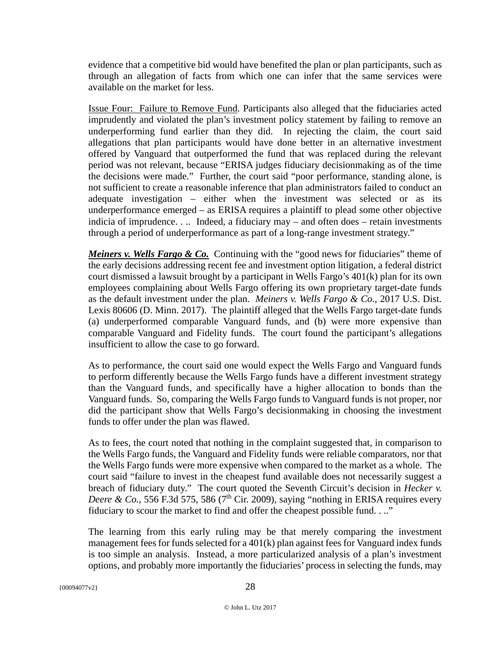evidence that a competitive bid would have benefited the plan or plan participants, such as through an allegation of facts from which one can infer that the same services were available on the market for less.

Issue Four: Failure to Remove Fund. Participants also alleged that the fiduciaries acted imprudently and violated the plan's investment policy statement by failing to remove an underperforming fund earlier than they did. In rejecting the claim, the court said allegations that plan participants would have done better in an alternative investment offered by Vanguard that outperformed the fund that was replaced during the relevant period was not relevant, because "ERISA judges fiduciary decisionmaking as of the time the decisions were made." Further, the court said "poor performance, standing alone, is not sufficient to create a reasonable inference that plan administrators failed to conduct an adequate investigation – either when the investment was selected or as its underperformance emerged – as ERISA requires a plaintiff to plead some other objective indicia of imprudence. . .. Indeed, a fiduciary may – and often does – retain investments through a period of underperformance as part of a long-range investment strategy."

*Meiners v. Wells Fargo & Co.* Continuing with the "good news for fiduciaries" theme of the early decisions addressing recent fee and investment option litigation, a federal district court dismissed a lawsuit brought by a participant in Wells Fargo's 401(k) plan for its own employees complaining about Wells Fargo offering its own proprietary target-date funds as the default investment under the plan. *Meiners v. Wells Fargo & Co.*, 2017 U.S. Dist. Lexis 80606 (D. Minn. 2017). The plaintiff alleged that the Wells Fargo target-date funds (a) underperformed comparable Vanguard funds, and (b) were more expensive than comparable Vanguard and Fidelity funds. The court found the participant's allegations insufficient to allow the case to go forward.

As to performance, the court said one would expect the Wells Fargo and Vanguard funds to perform differently because the Wells Fargo funds have a different investment strategy than the Vanguard funds, and specifically have a higher allocation to bonds than the Vanguard funds. So, comparing the Wells Fargo funds to Vanguard funds is not proper, nor did the participant show that Wells Fargo's decisionmaking in choosing the investment funds to offer under the plan was flawed.

As to fees, the court noted that nothing in the complaint suggested that, in comparison to the Wells Fargo funds, the Vanguard and Fidelity funds were reliable comparators, nor that the Wells Fargo funds were more expensive when compared to the market as a whole. The court said "failure to invest in the cheapest fund available does not necessarily suggest a breach of fiduciary duty." The court quoted the Seventh Circuit's decision in *Hecker v. Deere & Co.*, 556 F.3d 575, 586 ( $7<sup>th</sup>$  Cir. 2009), saying "nothing in ERISA requires every fiduciary to scour the market to find and offer the cheapest possible fund. . .."

The learning from this early ruling may be that merely comparing the investment management fees for funds selected for a 401(k) plan against fees for Vanguard index funds is too simple an analysis. Instead, a more particularized analysis of a plan's investment options, and probably more importantly the fiduciaries' process in selecting the funds, may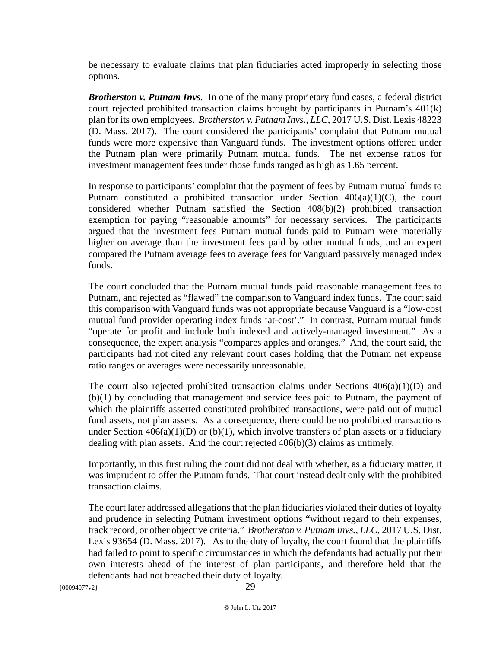be necessary to evaluate claims that plan fiduciaries acted improperly in selecting those options.

*Brotherston v. Putnam Invs.* In one of the many proprietary fund cases, a federal district court rejected prohibited transaction claims brought by participants in Putnam's 401(k) plan for its own employees. *Brotherston v. Putnam Invs., LLC*, 2017 U.S. Dist. Lexis 48223 (D. Mass. 2017). The court considered the participants' complaint that Putnam mutual funds were more expensive than Vanguard funds. The investment options offered under the Putnam plan were primarily Putnam mutual funds. The net expense ratios for investment management fees under those funds ranged as high as 1.65 percent.

In response to participants' complaint that the payment of fees by Putnam mutual funds to Putnam constituted a prohibited transaction under Section  $406(a)(1)(C)$ , the court considered whether Putnam satisfied the Section 408(b)(2) prohibited transaction exemption for paying "reasonable amounts" for necessary services. The participants argued that the investment fees Putnam mutual funds paid to Putnam were materially higher on average than the investment fees paid by other mutual funds, and an expert compared the Putnam average fees to average fees for Vanguard passively managed index funds.

The court concluded that the Putnam mutual funds paid reasonable management fees to Putnam, and rejected as "flawed" the comparison to Vanguard index funds. The court said this comparison with Vanguard funds was not appropriate because Vanguard is a "low-cost mutual fund provider operating index funds 'at-cost'." In contrast, Putnam mutual funds "operate for profit and include both indexed and actively-managed investment." As a consequence, the expert analysis "compares apples and oranges." And, the court said, the participants had not cited any relevant court cases holding that the Putnam net expense ratio ranges or averages were necessarily unreasonable.

The court also rejected prohibited transaction claims under Sections  $406(a)(1)(D)$  and (b)(1) by concluding that management and service fees paid to Putnam, the payment of which the plaintiffs asserted constituted prohibited transactions, were paid out of mutual fund assets, not plan assets. As a consequence, there could be no prohibited transactions under Section  $406(a)(1)(D)$  or (b)(1), which involve transfers of plan assets or a fiduciary dealing with plan assets. And the court rejected 406(b)(3) claims as untimely.

Importantly, in this first ruling the court did not deal with whether, as a fiduciary matter, it was imprudent to offer the Putnam funds. That court instead dealt only with the prohibited transaction claims.

The court later addressed allegations that the plan fiduciaries violated their duties of loyalty and prudence in selecting Putnam investment options "without regard to their expenses, track record, or other objective criteria." *Brotherston v. Putnam Invs., LLC*, 2017 U.S. Dist. Lexis 93654 (D. Mass. 2017). As to the duty of loyalty, the court found that the plaintiffs had failed to point to specific circumstances in which the defendants had actually put their own interests ahead of the interest of plan participants, and therefore held that the defendants had not breached their duty of loyalty.

{00094077v2} 29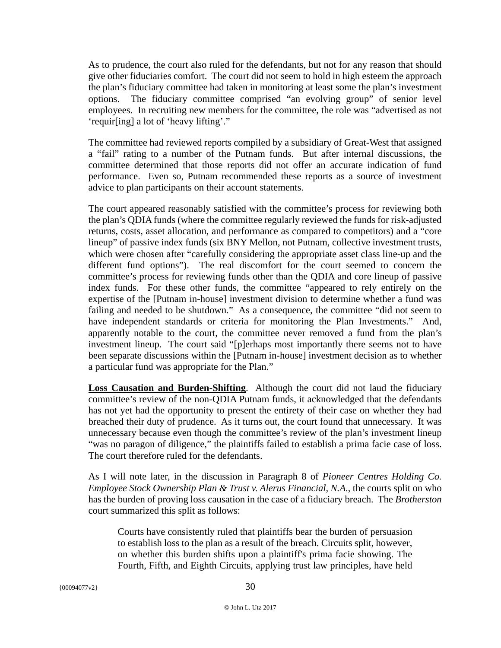As to prudence, the court also ruled for the defendants, but not for any reason that should give other fiduciaries comfort. The court did not seem to hold in high esteem the approach the plan's fiduciary committee had taken in monitoring at least some the plan's investment options. The fiduciary committee comprised "an evolving group" of senior level employees. In recruiting new members for the committee, the role was "advertised as not 'requir[ing] a lot of 'heavy lifting'."

The committee had reviewed reports compiled by a subsidiary of Great-West that assigned a "fail" rating to a number of the Putnam funds. But after internal discussions, the committee determined that those reports did not offer an accurate indication of fund performance. Even so, Putnam recommended these reports as a source of investment advice to plan participants on their account statements.

The court appeared reasonably satisfied with the committee's process for reviewing both the plan's QDIA funds (where the committee regularly reviewed the funds for risk-adjusted returns, costs, asset allocation, and performance as compared to competitors) and a "core lineup" of passive index funds (six BNY Mellon, not Putnam, collective investment trusts, which were chosen after "carefully considering the appropriate asset class line-up and the different fund options"). The real discomfort for the court seemed to concern the committee's process for reviewing funds other than the QDIA and core lineup of passive index funds. For these other funds, the committee "appeared to rely entirely on the expertise of the [Putnam in-house] investment division to determine whether a fund was failing and needed to be shutdown." As a consequence, the committee "did not seem to have independent standards or criteria for monitoring the Plan Investments." And, apparently notable to the court, the committee never removed a fund from the plan's investment lineup. The court said "[p]erhaps most importantly there seems not to have been separate discussions within the [Putnam in-house] investment decision as to whether a particular fund was appropriate for the Plan."

**Loss Causation and Burden-Shifting**. Although the court did not laud the fiduciary committee's review of the non-QDIA Putnam funds, it acknowledged that the defendants has not yet had the opportunity to present the entirety of their case on whether they had breached their duty of prudence. As it turns out, the court found that unnecessary. It was unnecessary because even though the committee's review of the plan's investment lineup "was no paragon of diligence," the plaintiffs failed to establish a prima facie case of loss. The court therefore ruled for the defendants.

As I will note later, in the discussion in Paragraph 8 of *Pioneer Centres Holding Co. Employee Stock Ownership Plan & Trust v. Alerus Financial, N.A*., the courts split on who has the burden of proving loss causation in the case of a fiduciary breach. The *Brotherston* court summarized this split as follows:

Courts have consistently ruled that plaintiffs bear the burden of persuasion to establish loss to the plan as a result of the breach. Circuits split, however, on whether this burden shifts upon a plaintiff's prima facie showing. The Fourth, Fifth, and Eighth Circuits, applying trust law principles, have held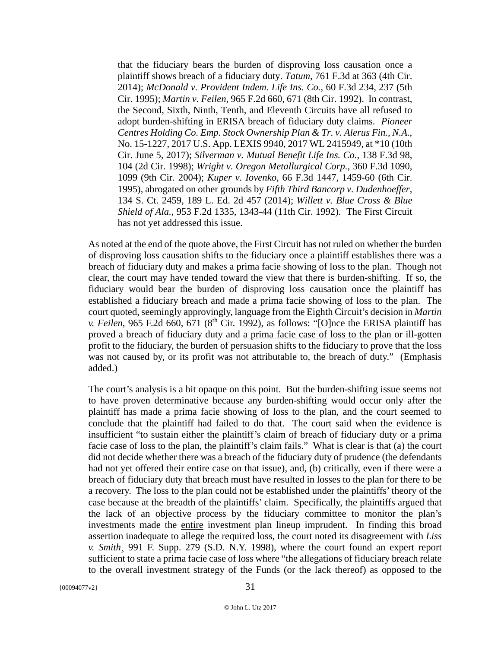that the fiduciary bears the burden of disproving loss causation once a plaintiff shows breach of a fiduciary duty. *Tatum*, 761 F.3d at 363 (4th Cir. 2014); *McDonald v. Provident Indem. Life Ins. Co.*, 60 F.3d 234, 237 (5th Cir. 1995); *Martin v. Feilen*, 965 F.2d 660, 671 (8th Cir. 1992). In contrast, the Second, Sixth, Ninth, Tenth, and Eleventh Circuits have all refused to adopt burden-shifting in ERISA breach of fiduciary duty claims. *Pioneer Centres Holding Co. Emp. Stock Ownership Plan & Tr. v. Alerus Fin., N.A.*, No. 15-1227, 2017 U.S. App. LEXIS 9940, 2017 WL 2415949, at \*10 (10th Cir. June 5, 2017); *Silverman v. Mutual Benefit Life Ins. Co.*, 138 F.3d 98, 104 (2d Cir. 1998); *Wright v. Oregon Metallurgical Corp.*, 360 F.3d 1090, 1099 (9th Cir. 2004); *Kuper v. Iovenko*, 66 F.3d 1447, 1459-60 (6th Cir. 1995), abrogated on other grounds by *Fifth Third Bancorp v. Dudenhoeffer*, 134 S. Ct. 2459, 189 L. Ed. 2d 457 (2014); *Willett v. Blue Cross & Blue Shield of Ala.*, 953 F.2d 1335, 1343-44 (11th Cir. 1992). The First Circuit has not yet addressed this issue.

As noted at the end of the quote above, the First Circuit has not ruled on whether the burden of disproving loss causation shifts to the fiduciary once a plaintiff establishes there was a breach of fiduciary duty and makes a prima facie showing of loss to the plan. Though not clear, the court may have tended toward the view that there is burden-shifting. If so, the fiduciary would bear the burden of disproving loss causation once the plaintiff has established a fiduciary breach and made a prima facie showing of loss to the plan. The court quoted, seemingly approvingly, language from the Eighth Circuit's decision in *Martin v. Feilen*, 965 F.2d 660, 671 ( $8<sup>th</sup>$  Cir. 1992), as follows: "[O]nce the ERISA plaintiff has proved a breach of fiduciary duty and a prima facie case of loss to the plan or ill-gotten profit to the fiduciary, the burden of persuasion shifts to the fiduciary to prove that the loss was not caused by, or its profit was not attributable to, the breach of duty." (Emphasis added.)

The court's analysis is a bit opaque on this point. But the burden-shifting issue seems not to have proven determinative because any burden-shifting would occur only after the plaintiff has made a prima facie showing of loss to the plan, and the court seemed to conclude that the plaintiff had failed to do that. The court said when the evidence is insufficient "to sustain either the plaintiff's claim of breach of fiduciary duty or a prima facie case of loss to the plan, the plaintiff's claim fails." What is clear is that (a) the court did not decide whether there was a breach of the fiduciary duty of prudence (the defendants had not yet offered their entire case on that issue), and, (b) critically, even if there were a breach of fiduciary duty that breach must have resulted in losses to the plan for there to be a recovery. The loss to the plan could not be established under the plaintiffs' theory of the case because at the breadth of the plaintiffs' claim. Specifically, the plaintiffs argued that the lack of an objective process by the fiduciary committee to monitor the plan's investments made the entire investment plan lineup imprudent. In finding this broad assertion inadequate to allege the required loss, the court noted its disagreement with *Liss v. Smith¸* 991 F. Supp. 279 (S.D. N.Y. 1998), where the court found an expert report sufficient to state a prima facie case of loss where "the allegations of fiduciary breach relate to the overall investment strategy of the Funds (or the lack thereof) as opposed to the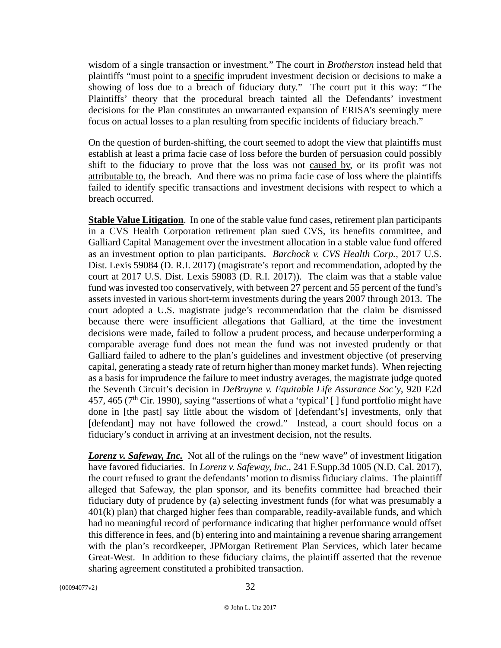wisdom of a single transaction or investment." The court in *Brotherston* instead held that plaintiffs "must point to a specific imprudent investment decision or decisions to make a showing of loss due to a breach of fiduciary duty." The court put it this way: "The Plaintiffs' theory that the procedural breach tainted all the Defendants' investment decisions for the Plan constitutes an unwarranted expansion of ERISA's seemingly mere focus on actual losses to a plan resulting from specific incidents of fiduciary breach."

On the question of burden-shifting, the court seemed to adopt the view that plaintiffs must establish at least a prima facie case of loss before the burden of persuasion could possibly shift to the fiduciary to prove that the loss was not caused by, or its profit was not attributable to, the breach. And there was no prima facie case of loss where the plaintiffs failed to identify specific transactions and investment decisions with respect to which a breach occurred.

**Stable Value Litigation**. In one of the stable value fund cases, retirement plan participants in a CVS Health Corporation retirement plan sued CVS, its benefits committee, and Galliard Capital Management over the investment allocation in a stable value fund offered as an investment option to plan participants. *Barchock v. CVS Health Corp.*, 2017 U.S. Dist. Lexis 59084 (D. R.I. 2017) (magistrate's report and recommendation, adopted by the court at 2017 U.S. Dist. Lexis 59083 (D. R.I. 2017)). The claim was that a stable value fund was invested too conservatively, with between 27 percent and 55 percent of the fund's assets invested in various short-term investments during the years 2007 through 2013. The court adopted a U.S. magistrate judge's recommendation that the claim be dismissed because there were insufficient allegations that Galliard, at the time the investment decisions were made, failed to follow a prudent process, and because underperforming a comparable average fund does not mean the fund was not invested prudently or that Galliard failed to adhere to the plan's guidelines and investment objective (of preserving capital, generating a steady rate of return higher than money market funds). When rejecting as a basis for imprudence the failure to meet industry averages, the magistrate judge quoted the Seventh Circuit's decision in *DeBruyne v. Equitable Life Assurance Soc'y*, 920 F.2d 457, 465 ( $7<sup>th</sup>$  Cir. 1990), saying "assertions of what a 'typical' [] fund portfolio might have done in [the past] say little about the wisdom of [defendant's] investments, only that [defendant] may not have followed the crowd." Instead, a court should focus on a fiduciary's conduct in arriving at an investment decision, not the results.

*Lorenz v. Safeway, Inc.* Not all of the rulings on the "new wave" of investment litigation have favored fiduciaries. In *Lorenz v. Safeway, Inc.*, 241 F.Supp.3d 1005 (N.D. Cal. 2017), the court refused to grant the defendants' motion to dismiss fiduciary claims. The plaintiff alleged that Safeway, the plan sponsor, and its benefits committee had breached their fiduciary duty of prudence by (a) selecting investment funds (for what was presumably a  $401(k)$  plan) that charged higher fees than comparable, readily-available funds, and which had no meaningful record of performance indicating that higher performance would offset this difference in fees, and (b) entering into and maintaining a revenue sharing arrangement with the plan's recordkeeper, JPMorgan Retirement Plan Services, which later became Great-West. In addition to these fiduciary claims, the plaintiff asserted that the revenue sharing agreement constituted a prohibited transaction.

 ${00094077v2}$  32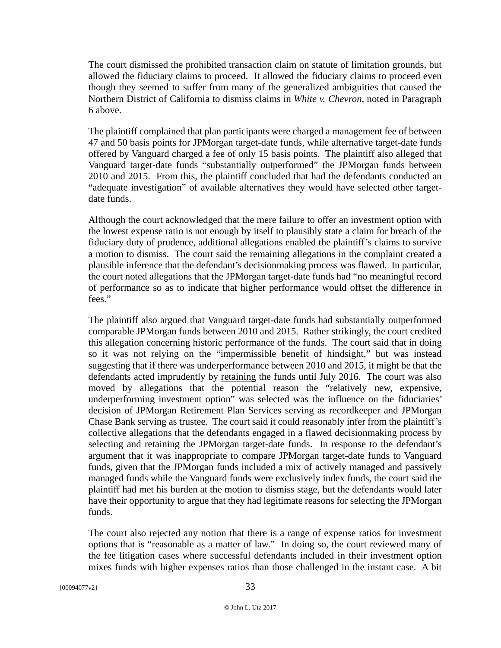The court dismissed the prohibited transaction claim on statute of limitation grounds, but allowed the fiduciary claims to proceed. It allowed the fiduciary claims to proceed even though they seemed to suffer from many of the generalized ambiguities that caused the Northern District of California to dismiss claims in *White v. Chevron*, noted in Paragraph 6 above.

The plaintiff complained that plan participants were charged a management fee of between 47 and 50 basis points for JPMorgan target-date funds, while alternative target-date funds offered by Vanguard charged a fee of only 15 basis points. The plaintiff also alleged that Vanguard target-date funds "substantially outperformed" the JPMorgan funds between 2010 and 2015. From this, the plaintiff concluded that had the defendants conducted an "adequate investigation" of available alternatives they would have selected other targetdate funds.

Although the court acknowledged that the mere failure to offer an investment option with the lowest expense ratio is not enough by itself to plausibly state a claim for breach of the fiduciary duty of prudence, additional allegations enabled the plaintiff's claims to survive a motion to dismiss. The court said the remaining allegations in the complaint created a plausible inference that the defendant's decisionmaking process was flawed. In particular, the court noted allegations that the JPMorgan target-date funds had "no meaningful record of performance so as to indicate that higher performance would offset the difference in fees."

The plaintiff also argued that Vanguard target-date funds had substantially outperformed comparable JPMorgan funds between 2010 and 2015. Rather strikingly, the court credited this allegation concerning historic performance of the funds. The court said that in doing so it was not relying on the "impermissible benefit of hindsight," but was instead suggesting that if there was underperformance between 2010 and 2015, it might be that the defendants acted imprudently by retaining the funds until July 2016. The court was also moved by allegations that the potential reason the "relatively new, expensive, underperforming investment option" was selected was the influence on the fiduciaries' decision of JPMorgan Retirement Plan Services serving as recordkeeper and JPMorgan Chase Bank serving as trustee. The court said it could reasonably infer from the plaintiff's collective allegations that the defendants engaged in a flawed decisionmaking process by selecting and retaining the JPMorgan target-date funds. In response to the defendant's argument that it was inappropriate to compare JPMorgan target-date funds to Vanguard funds, given that the JPMorgan funds included a mix of actively managed and passively managed funds while the Vanguard funds were exclusively index funds, the court said the plaintiff had met his burden at the motion to dismiss stage, but the defendants would later have their opportunity to argue that they had legitimate reasons for selecting the JPMorgan funds.

The court also rejected any notion that there is a range of expense ratios for investment options that is "reasonable as a matter of law." In doing so, the court reviewed many of the fee litigation cases where successful defendants included in their investment option mixes funds with higher expenses ratios than those challenged in the instant case. A bit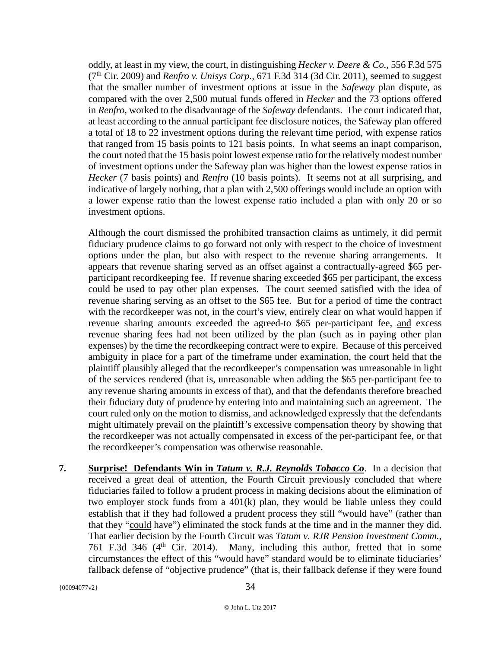oddly, at least in my view, the court, in distinguishing *Hecker v. Deere & Co.*, 556 F.3d 575 (7th Cir. 2009) and *Renfro v. Unisys Corp.,* 671 F.3d 314 (3d Cir. 2011), seemed to suggest that the smaller number of investment options at issue in the *Safeway* plan dispute, as compared with the over 2,500 mutual funds offered in *Hecker* and the 73 options offered in *Renfro*, worked to the disadvantage of the *Safeway* defendants. The court indicated that, at least according to the annual participant fee disclosure notices, the Safeway plan offered a total of 18 to 22 investment options during the relevant time period, with expense ratios that ranged from 15 basis points to 121 basis points. In what seems an inapt comparison, the court noted that the 15 basis point lowest expense ratio for the relatively modest number of investment options under the Safeway plan was higher than the lowest expense ratios in *Hecker* (7 basis points) and *Renfro* (10 basis points). It seems not at all surprising, and indicative of largely nothing, that a plan with 2,500 offerings would include an option with a lower expense ratio than the lowest expense ratio included a plan with only 20 or so investment options.

Although the court dismissed the prohibited transaction claims as untimely, it did permit fiduciary prudence claims to go forward not only with respect to the choice of investment options under the plan, but also with respect to the revenue sharing arrangements. It appears that revenue sharing served as an offset against a contractually-agreed \$65 perparticipant recordkeeping fee. If revenue sharing exceeded \$65 per participant, the excess could be used to pay other plan expenses. The court seemed satisfied with the idea of revenue sharing serving as an offset to the \$65 fee. But for a period of time the contract with the recordkeeper was not, in the court's view, entirely clear on what would happen if revenue sharing amounts exceeded the agreed-to \$65 per-participant fee, and excess revenue sharing fees had not been utilized by the plan (such as in paying other plan expenses) by the time the recordkeeping contract were to expire. Because of this perceived ambiguity in place for a part of the timeframe under examination, the court held that the plaintiff plausibly alleged that the recordkeeper's compensation was unreasonable in light of the services rendered (that is, unreasonable when adding the \$65 per-participant fee to any revenue sharing amounts in excess of that), and that the defendants therefore breached their fiduciary duty of prudence by entering into and maintaining such an agreement. The court ruled only on the motion to dismiss, and acknowledged expressly that the defendants might ultimately prevail on the plaintiff's excessive compensation theory by showing that the recordkeeper was not actually compensated in excess of the per-participant fee, or that the recordkeeper's compensation was otherwise reasonable.

**7. Surprise! Defendants Win in** *Tatum v. R.J. Reynolds Tobacco Co*. In a decision that received a great deal of attention, the Fourth Circuit previously concluded that where fiduciaries failed to follow a prudent process in making decisions about the elimination of two employer stock funds from a 401(k) plan, they would be liable unless they could establish that if they had followed a prudent process they still "would have" (rather than that they "could have") eliminated the stock funds at the time and in the manner they did. That earlier decision by the Fourth Circuit was *Tatum v. RJR Pension Investment Comm.,*  761 F.3d 346 ( $4<sup>th</sup>$  Cir. 2014). Many, including this author, fretted that in some circumstances the effect of this "would have" standard would be to eliminate fiduciaries' fallback defense of "objective prudence" (that is, their fallback defense if they were found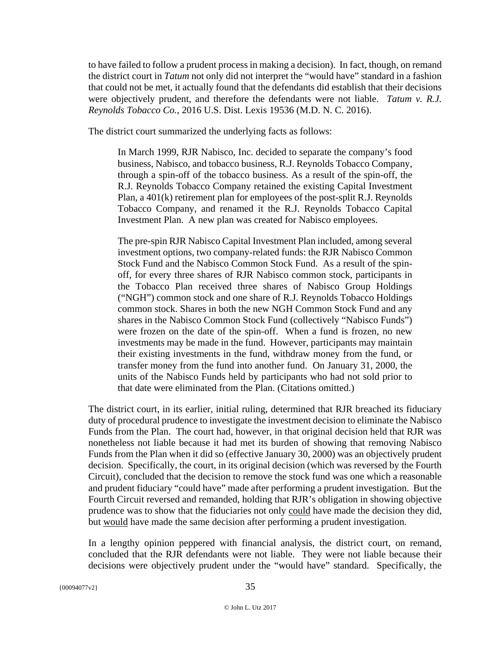to have failed to follow a prudent process in making a decision). In fact, though, on remand the district court in *Tatum* not only did not interpret the "would have" standard in a fashion that could not be met, it actually found that the defendants did establish that their decisions were objectively prudent, and therefore the defendants were not liable. *Tatum v. R.J. Reynolds Tobacco Co.*, 2016 U.S. Dist. Lexis 19536 (M.D. N. C. 2016).

The district court summarized the underlying facts as follows:

In March 1999, RJR Nabisco, Inc. decided to separate the company's food business, Nabisco, and tobacco business, R.J. Reynolds Tobacco Company, through a spin-off of the tobacco business. As a result of the spin-off, the R.J. Reynolds Tobacco Company retained the existing Capital Investment Plan, a 401(k) retirement plan for employees of the post-split R.J. Reynolds Tobacco Company, and renamed it the R.J. Reynolds Tobacco Capital Investment Plan. A new plan was created for Nabisco employees.

The pre-spin RJR Nabisco Capital Investment Plan included, among several investment options, two company-related funds: the RJR Nabisco Common Stock Fund and the Nabisco Common Stock Fund. As a result of the spinoff, for every three shares of RJR Nabisco common stock, participants in the Tobacco Plan received three shares of Nabisco Group Holdings ("NGH") common stock and one share of R.J. Reynolds Tobacco Holdings common stock. Shares in both the new NGH Common Stock Fund and any shares in the Nabisco Common Stock Fund (collectively "Nabisco Funds") were frozen on the date of the spin-off. When a fund is frozen, no new investments may be made in the fund. However, participants may maintain their existing investments in the fund, withdraw money from the fund, or transfer money from the fund into another fund. On January 31, 2000, the units of the Nabisco Funds held by participants who had not sold prior to that date were eliminated from the Plan. (Citations omitted.)

The district court, in its earlier, initial ruling, determined that RJR breached its fiduciary duty of procedural prudence to investigate the investment decision to eliminate the Nabisco Funds from the Plan. The court had, however, in that original decision held that RJR was nonetheless not liable because it had met its burden of showing that removing Nabisco Funds from the Plan when it did so (effective January 30, 2000) was an objectively prudent decision. Specifically, the court, in its original decision (which was reversed by the Fourth Circuit), concluded that the decision to remove the stock fund was one which a reasonable and prudent fiduciary "could have" made after performing a prudent investigation. But the Fourth Circuit reversed and remanded, holding that RJR's obligation in showing objective prudence was to show that the fiduciaries not only could have made the decision they did, but would have made the same decision after performing a prudent investigation.

In a lengthy opinion peppered with financial analysis, the district court, on remand, concluded that the RJR defendants were not liable. They were not liable because their decisions were objectively prudent under the "would have" standard. Specifically, the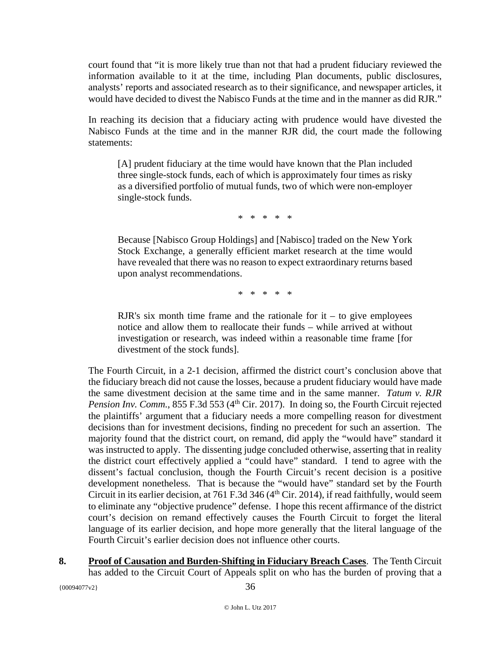court found that "it is more likely true than not that had a prudent fiduciary reviewed the information available to it at the time, including Plan documents, public disclosures, analysts' reports and associated research as to their significance, and newspaper articles, it would have decided to divest the Nabisco Funds at the time and in the manner as did RJR."

In reaching its decision that a fiduciary acting with prudence would have divested the Nabisco Funds at the time and in the manner RJR did, the court made the following statements:

[A] prudent fiduciary at the time would have known that the Plan included three single-stock funds, each of which is approximately four times as risky as a diversified portfolio of mutual funds, two of which were non-employer single-stock funds.

\* \* \* \* \*

Because [Nabisco Group Holdings] and [Nabisco] traded on the New York Stock Exchange, a generally efficient market research at the time would have revealed that there was no reason to expect extraordinary returns based upon analyst recommendations.

\* \* \* \* \*

RJR's six month time frame and the rationale for  $it - to give employees$ notice and allow them to reallocate their funds – while arrived at without investigation or research, was indeed within a reasonable time frame [for divestment of the stock funds].

The Fourth Circuit, in a 2-1 decision, affirmed the district court's conclusion above that the fiduciary breach did not cause the losses, because a prudent fiduciary would have made the same divestment decision at the same time and in the same manner. *Tatum v. RJR Pension Inv. Comm.*, 855 F.3d 553 (4<sup>th</sup> Cir. 2017). In doing so, the Fourth Circuit rejected the plaintiffs' argument that a fiduciary needs a more compelling reason for divestment decisions than for investment decisions, finding no precedent for such an assertion. The majority found that the district court, on remand, did apply the "would have" standard it was instructed to apply. The dissenting judge concluded otherwise, asserting that in reality the district court effectively applied a "could have" standard. I tend to agree with the dissent's factual conclusion, though the Fourth Circuit's recent decision is a positive development nonetheless. That is because the "would have" standard set by the Fourth Circuit in its earlier decision, at 761 F.3d 346 (4<sup>th</sup> Cir. 2014), if read faithfully, would seem to eliminate any "objective prudence" defense. I hope this recent affirmance of the district court's decision on remand effectively causes the Fourth Circuit to forget the literal language of its earlier decision, and hope more generally that the literal language of the Fourth Circuit's earlier decision does not influence other courts.

**8. Proof of Causation and Burden-Shifting in Fiduciary Breach Cases**. The Tenth Circuit has added to the Circuit Court of Appeals split on who has the burden of proving that a

 ${00094077v2}$  36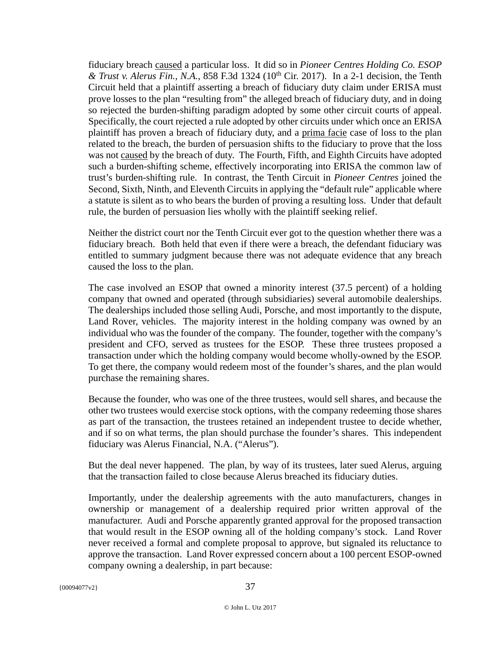fiduciary breach caused a particular loss. It did so in *Pioneer Centres Holding Co. ESOP & Trust v. Alerus Fin., N.A.*, 858 F.3d 1324 (10th Cir. 2017). In a 2-1 decision, the Tenth Circuit held that a plaintiff asserting a breach of fiduciary duty claim under ERISA must prove losses to the plan "resulting from" the alleged breach of fiduciary duty, and in doing so rejected the burden-shifting paradigm adopted by some other circuit courts of appeal. Specifically, the court rejected a rule adopted by other circuits under which once an ERISA plaintiff has proven a breach of fiduciary duty, and a prima facie case of loss to the plan related to the breach, the burden of persuasion shifts to the fiduciary to prove that the loss was not caused by the breach of duty. The Fourth, Fifth, and Eighth Circuits have adopted such a burden-shifting scheme, effectively incorporating into ERISA the common law of trust's burden-shifting rule. In contrast, the Tenth Circuit in *Pioneer Centres* joined the Second, Sixth, Ninth, and Eleventh Circuits in applying the "default rule" applicable where a statute is silent as to who bears the burden of proving a resulting loss. Under that default rule, the burden of persuasion lies wholly with the plaintiff seeking relief.

Neither the district court nor the Tenth Circuit ever got to the question whether there was a fiduciary breach. Both held that even if there were a breach, the defendant fiduciary was entitled to summary judgment because there was not adequate evidence that any breach caused the loss to the plan.

The case involved an ESOP that owned a minority interest (37.5 percent) of a holding company that owned and operated (through subsidiaries) several automobile dealerships. The dealerships included those selling Audi, Porsche, and most importantly to the dispute, Land Rover, vehicles. The majority interest in the holding company was owned by an individual who was the founder of the company. The founder, together with the company's president and CFO, served as trustees for the ESOP. These three trustees proposed a transaction under which the holding company would become wholly-owned by the ESOP. To get there, the company would redeem most of the founder's shares, and the plan would purchase the remaining shares.

Because the founder, who was one of the three trustees, would sell shares, and because the other two trustees would exercise stock options, with the company redeeming those shares as part of the transaction, the trustees retained an independent trustee to decide whether, and if so on what terms, the plan should purchase the founder's shares. This independent fiduciary was Alerus Financial, N.A. ("Alerus").

But the deal never happened. The plan, by way of its trustees, later sued Alerus, arguing that the transaction failed to close because Alerus breached its fiduciary duties.

Importantly, under the dealership agreements with the auto manufacturers, changes in ownership or management of a dealership required prior written approval of the manufacturer. Audi and Porsche apparently granted approval for the proposed transaction that would result in the ESOP owning all of the holding company's stock. Land Rover never received a formal and complete proposal to approve, but signaled its reluctance to approve the transaction. Land Rover expressed concern about a 100 percent ESOP-owned company owning a dealership, in part because: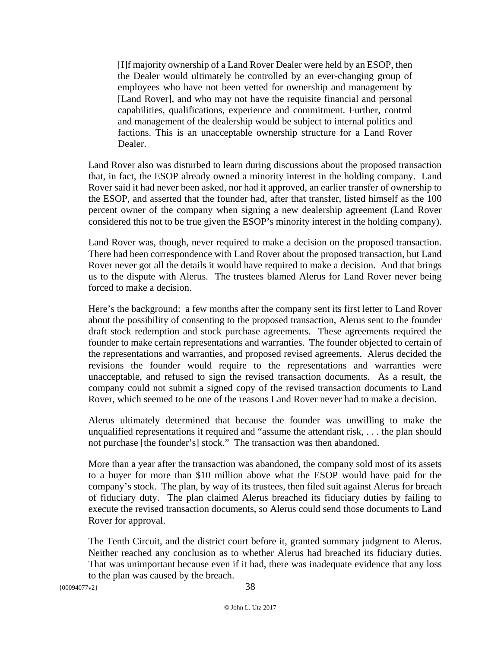[I]f majority ownership of a Land Rover Dealer were held by an ESOP, then the Dealer would ultimately be controlled by an ever-changing group of employees who have not been vetted for ownership and management by [Land Rover], and who may not have the requisite financial and personal capabilities, qualifications, experience and commitment. Further, control and management of the dealership would be subject to internal politics and factions. This is an unacceptable ownership structure for a Land Rover Dealer.

Land Rover also was disturbed to learn during discussions about the proposed transaction that, in fact, the ESOP already owned a minority interest in the holding company. Land Rover said it had never been asked, nor had it approved, an earlier transfer of ownership to the ESOP, and asserted that the founder had, after that transfer, listed himself as the 100 percent owner of the company when signing a new dealership agreement (Land Rover considered this not to be true given the ESOP's minority interest in the holding company).

Land Rover was, though, never required to make a decision on the proposed transaction. There had been correspondence with Land Rover about the proposed transaction, but Land Rover never got all the details it would have required to make a decision. And that brings us to the dispute with Alerus. The trustees blamed Alerus for Land Rover never being forced to make a decision.

Here's the background: a few months after the company sent its first letter to Land Rover about the possibility of consenting to the proposed transaction, Alerus sent to the founder draft stock redemption and stock purchase agreements. These agreements required the founder to make certain representations and warranties. The founder objected to certain of the representations and warranties, and proposed revised agreements. Alerus decided the revisions the founder would require to the representations and warranties were unacceptable, and refused to sign the revised transaction documents. As a result, the company could not submit a signed copy of the revised transaction documents to Land Rover, which seemed to be one of the reasons Land Rover never had to make a decision.

Alerus ultimately determined that because the founder was unwilling to make the unqualified representations it required and "assume the attendant risk, . . . the plan should not purchase [the founder's] stock." The transaction was then abandoned.

More than a year after the transaction was abandoned, the company sold most of its assets to a buyer for more than \$10 million above what the ESOP would have paid for the company's stock. The plan, by way of its trustees, then filed suit against Alerus for breach of fiduciary duty. The plan claimed Alerus breached its fiduciary duties by failing to execute the revised transaction documents, so Alerus could send those documents to Land Rover for approval.

The Tenth Circuit, and the district court before it, granted summary judgment to Alerus. Neither reached any conclusion as to whether Alerus had breached its fiduciary duties. That was unimportant because even if it had, there was inadequate evidence that any loss to the plan was caused by the breach.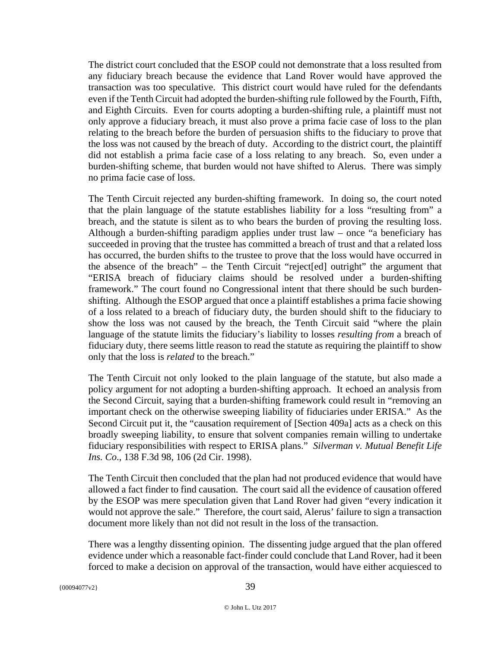The district court concluded that the ESOP could not demonstrate that a loss resulted from any fiduciary breach because the evidence that Land Rover would have approved the transaction was too speculative. This district court would have ruled for the defendants even if the Tenth Circuit had adopted the burden-shifting rule followed by the Fourth, Fifth, and Eighth Circuits. Even for courts adopting a burden-shifting rule, a plaintiff must not only approve a fiduciary breach, it must also prove a prima facie case of loss to the plan relating to the breach before the burden of persuasion shifts to the fiduciary to prove that the loss was not caused by the breach of duty. According to the district court, the plaintiff did not establish a prima facie case of a loss relating to any breach. So, even under a burden-shifting scheme, that burden would not have shifted to Alerus. There was simply no prima facie case of loss.

The Tenth Circuit rejected any burden-shifting framework. In doing so, the court noted that the plain language of the statute establishes liability for a loss "resulting from" a breach, and the statute is silent as to who bears the burden of proving the resulting loss. Although a burden-shifting paradigm applies under trust law – once "a beneficiary has succeeded in proving that the trustee has committed a breach of trust and that a related loss has occurred, the burden shifts to the trustee to prove that the loss would have occurred in the absence of the breach" – the Tenth Circuit "reject[ed] outright" the argument that "ERISA breach of fiduciary claims should be resolved under a burden-shifting framework." The court found no Congressional intent that there should be such burdenshifting. Although the ESOP argued that once a plaintiff establishes a prima facie showing of a loss related to a breach of fiduciary duty, the burden should shift to the fiduciary to show the loss was not caused by the breach, the Tenth Circuit said "where the plain language of the statute limits the fiduciary's liability to losses *resulting from* a breach of fiduciary duty, there seems little reason to read the statute as requiring the plaintiff to show only that the loss is *related* to the breach."

The Tenth Circuit not only looked to the plain language of the statute, but also made a policy argument for not adopting a burden-shifting approach. It echoed an analysis from the Second Circuit, saying that a burden-shifting framework could result in "removing an important check on the otherwise sweeping liability of fiduciaries under ERISA." As the Second Circuit put it, the "causation requirement of [Section 409a] acts as a check on this broadly sweeping liability, to ensure that solvent companies remain willing to undertake fiduciary responsibilities with respect to ERISA plans." *Silverman v. Mutual Benefit Life Ins. Co*., 138 F.3d 98, 106 (2d Cir. 1998).

The Tenth Circuit then concluded that the plan had not produced evidence that would have allowed a fact finder to find causation. The court said all the evidence of causation offered by the ESOP was mere speculation given that Land Rover had given "every indication it would not approve the sale." Therefore, the court said, Alerus' failure to sign a transaction document more likely than not did not result in the loss of the transaction.

There was a lengthy dissenting opinion. The dissenting judge argued that the plan offered evidence under which a reasonable fact-finder could conclude that Land Rover, had it been forced to make a decision on approval of the transaction, would have either acquiesced to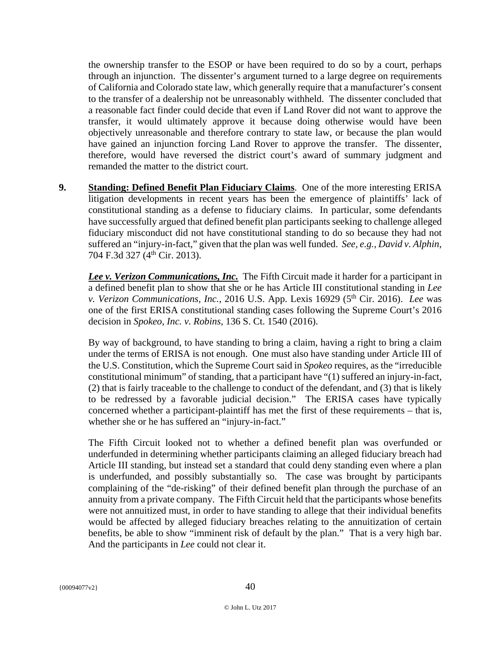the ownership transfer to the ESOP or have been required to do so by a court, perhaps through an injunction. The dissenter's argument turned to a large degree on requirements of California and Colorado state law, which generally require that a manufacturer's consent to the transfer of a dealership not be unreasonably withheld. The dissenter concluded that a reasonable fact finder could decide that even if Land Rover did not want to approve the transfer, it would ultimately approve it because doing otherwise would have been objectively unreasonable and therefore contrary to state law, or because the plan would have gained an injunction forcing Land Rover to approve the transfer. The dissenter, therefore, would have reversed the district court's award of summary judgment and remanded the matter to the district court.

**9. Standing: Defined Benefit Plan Fiduciary Claims**. One of the more interesting ERISA litigation developments in recent years has been the emergence of plaintiffs' lack of constitutional standing as a defense to fiduciary claims. In particular, some defendants have successfully argued that defined benefit plan participants seeking to challenge alleged fiduciary misconduct did not have constitutional standing to do so because they had not suffered an "injury-in-fact," given that the plan was well funded. *See, e.g., David v. Alphin*, 704 F.3d 327 (4th Cir. 2013).

*Lee v. Verizon Communications, Inc.* The Fifth Circuit made it harder for a participant in a defined benefit plan to show that she or he has Article III constitutional standing in *Lee v. Verizon Communications, Inc., 2016 U.S. App. Lexis 16929 (5<sup>th</sup> Cir. 2016). <i>Lee* was one of the first ERISA constitutional standing cases following the Supreme Court's 2016 decision in *Spokeo, Inc. v. Robins*, 136 S. Ct. 1540 (2016).

By way of background, to have standing to bring a claim, having a right to bring a claim under the terms of ERISA is not enough. One must also have standing under Article III of the U.S. Constitution, which the Supreme Court said in *Spokeo* requires, as the "irreducible constitutional minimum" of standing, that a participant have "(1) suffered an injury-in-fact, (2) that is fairly traceable to the challenge to conduct of the defendant, and (3) that is likely to be redressed by a favorable judicial decision." The ERISA cases have typically concerned whether a participant-plaintiff has met the first of these requirements – that is, whether she or he has suffered an "injury-in-fact."

The Fifth Circuit looked not to whether a defined benefit plan was overfunded or underfunded in determining whether participants claiming an alleged fiduciary breach had Article III standing, but instead set a standard that could deny standing even where a plan is underfunded, and possibly substantially so. The case was brought by participants complaining of the "de-risking" of their defined benefit plan through the purchase of an annuity from a private company. The Fifth Circuit held that the participants whose benefits were not annuitized must, in order to have standing to allege that their individual benefits would be affected by alleged fiduciary breaches relating to the annuitization of certain benefits, be able to show "imminent risk of default by the plan." That is a very high bar. And the participants in *Lee* could not clear it.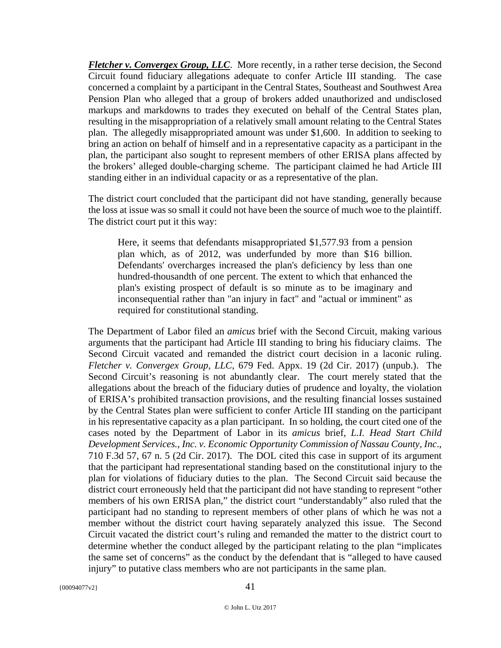*Fletcher v. Convergex Group, LLC*. More recently, in a rather terse decision, the Second Circuit found fiduciary allegations adequate to confer Article III standing. The case concerned a complaint by a participant in the Central States, Southeast and Southwest Area Pension Plan who alleged that a group of brokers added unauthorized and undisclosed markups and markdowns to trades they executed on behalf of the Central States plan, resulting in the misappropriation of a relatively small amount relating to the Central States plan. The allegedly misappropriated amount was under \$1,600. In addition to seeking to bring an action on behalf of himself and in a representative capacity as a participant in the plan, the participant also sought to represent members of other ERISA plans affected by the brokers' alleged double-charging scheme. The participant claimed he had Article III standing either in an individual capacity or as a representative of the plan.

The district court concluded that the participant did not have standing, generally because the loss at issue was so small it could not have been the source of much woe to the plaintiff. The district court put it this way:

Here, it seems that defendants misappropriated \$1,577.93 from a pension plan which, as of 2012, was underfunded by more than \$16 billion. Defendants' overcharges increased the plan's deficiency by less than one hundred-thousandth of one percent. The extent to which that enhanced the plan's existing prospect of default is so minute as to be imaginary and inconsequential rather than "an injury in fact" and "actual or imminent" as required for constitutional standing.

The Department of Labor filed an *amicus* brief with the Second Circuit, making various arguments that the participant had Article III standing to bring his fiduciary claims. The Second Circuit vacated and remanded the district court decision in a laconic ruling. *Fletcher v. Convergex Group, LLC*, 679 Fed. Appx. 19 (2d Cir. 2017) (unpub.). The Second Circuit's reasoning is not abundantly clear. The court merely stated that the allegations about the breach of the fiduciary duties of prudence and loyalty, the violation of ERISA's prohibited transaction provisions, and the resulting financial losses sustained by the Central States plan were sufficient to confer Article III standing on the participant in his representative capacity as a plan participant. In so holding, the court cited one of the cases noted by the Department of Labor in its *amicus* brief*, L.I. Head Start Child Development Services., Inc. v. Economic Opportunity Commission of Nassau County, Inc*., 710 F.3d 57, 67 n. 5 (2d Cir. 2017). The DOL cited this case in support of its argument that the participant had representational standing based on the constitutional injury to the plan for violations of fiduciary duties to the plan. The Second Circuit said because the district court erroneously held that the participant did not have standing to represent "other members of his own ERISA plan," the district court "understandably" also ruled that the participant had no standing to represent members of other plans of which he was not a member without the district court having separately analyzed this issue. The Second Circuit vacated the district court's ruling and remanded the matter to the district court to determine whether the conduct alleged by the participant relating to the plan "implicates the same set of concerns" as the conduct by the defendant that is "alleged to have caused injury" to putative class members who are not participants in the same plan.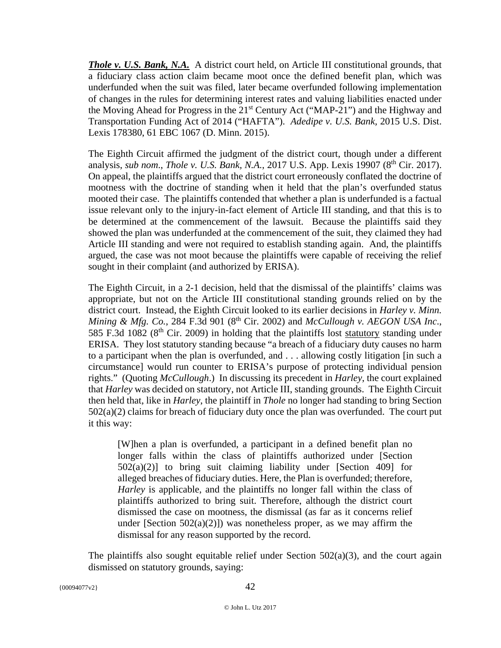*Thole v. U.S. Bank, N.A.* A district court held, on Article III constitutional grounds, that a fiduciary class action claim became moot once the defined benefit plan, which was underfunded when the suit was filed, later became overfunded following implementation of changes in the rules for determining interest rates and valuing liabilities enacted under the Moving Ahead for Progress in the 21<sup>st</sup> Century Act ("MAP-21") and the Highway and Transportation Funding Act of 2014 ("HAFTA"). *Adedipe v. U.S. Bank,* 2015 U.S. Dist. Lexis 178380, 61 EBC 1067 (D. Minn. 2015).

The Eighth Circuit affirmed the judgment of the district court, though under a different analysis, *sub nom., Thole v. U.S. Bank, N.A.*, 2017 U.S. App. Lexis 19907 (8<sup>th</sup> Cir. 2017). On appeal, the plaintiffs argued that the district court erroneously conflated the doctrine of mootness with the doctrine of standing when it held that the plan's overfunded status mooted their case. The plaintiffs contended that whether a plan is underfunded is a factual issue relevant only to the injury-in-fact element of Article III standing, and that this is to be determined at the commencement of the lawsuit. Because the plaintiffs said they showed the plan was underfunded at the commencement of the suit, they claimed they had Article III standing and were not required to establish standing again. And, the plaintiffs argued, the case was not moot because the plaintiffs were capable of receiving the relief sought in their complaint (and authorized by ERISA).

The Eighth Circuit, in a 2-1 decision, held that the dismissal of the plaintiffs' claims was appropriate, but not on the Article III constitutional standing grounds relied on by the district court. Instead, the Eighth Circuit looked to its earlier decisions in *Harley v. Minn. Mining & Mfg. Co.*, 284 F.3d 901 (8th Cir. 2002) and *McCullough v. AEGON USA Inc*., 585 F.3d 1082 (8th Cir. 2009) in holding that the plaintiffs lost statutory standing under ERISA. They lost statutory standing because "a breach of a fiduciary duty causes no harm to a participant when the plan is overfunded, and . . . allowing costly litigation [in such a circumstance] would run counter to ERISA's purpose of protecting individual pension rights." (Quoting *McCullough*.) In discussing its precedent in *Harley*, the court explained that *Harley* was decided on statutory, not Article III, standing grounds. The Eighth Circuit then held that, like in *Harley*, the plaintiff in *Thole* no longer had standing to bring Section  $502(a)(2)$  claims for breach of fiduciary duty once the plan was overfunded. The court put it this way:

[W]hen a plan is overfunded, a participant in a defined benefit plan no longer falls within the class of plaintiffs authorized under [Section  $502(a)(2)$ ] to bring suit claiming liability under [Section 409] for alleged breaches of fiduciary duties. Here, the Plan is overfunded; therefore, *Harley* is applicable, and the plaintiffs no longer fall within the class of plaintiffs authorized to bring suit. Therefore, although the district court dismissed the case on mootness, the dismissal (as far as it concerns relief under [Section  $502(a)(2)$ ]) was nonetheless proper, as we may affirm the dismissal for any reason supported by the record.

The plaintiffs also sought equitable relief under Section 502(a)(3), and the court again dismissed on statutory grounds, saying: